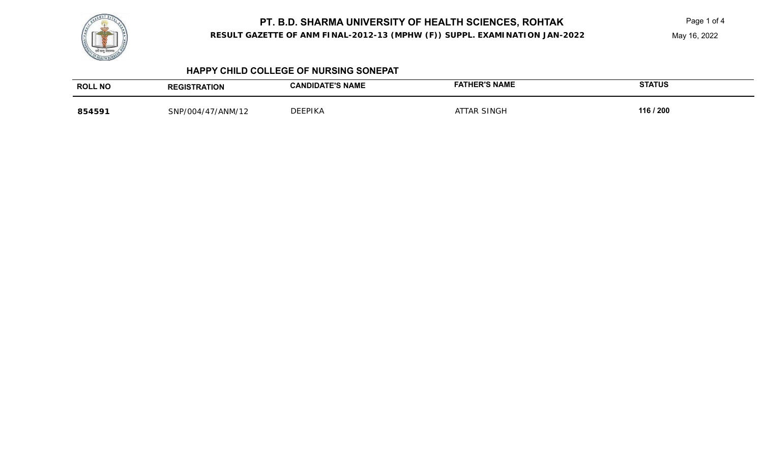

**RESULT GAZETTE OF ANM FINAL-2012-13 (MPHW (F)) SUPPL. EXAMINATION JAN-2022**

May 16, 2022

#### **HAPPY CHILD COLLEGE OF NURSING SONEPAT**

| <b>ROLL NO</b> | <b>REGISTRATION</b>        | <b>ATE'S NAME</b><br><b>CANDIDA</b> | <b>ER'S NAME</b> | <b>STATUS</b> |
|----------------|----------------------------|-------------------------------------|------------------|---------------|
| 854591         | 47/ANM/12<br>$SNP/004/4$ , | <b>DEEPIKA</b>                      | SINGH            | 116 / 200     |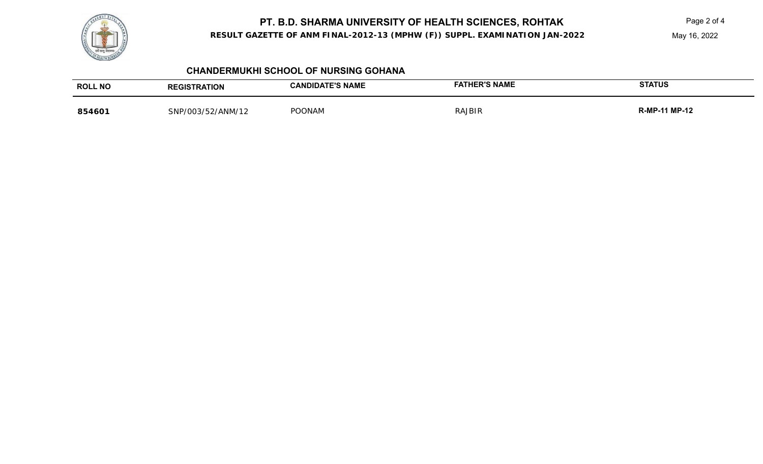

**RESULT GAZETTE OF ANM FINAL-2012-13 (MPHW (F)) SUPPL. EXAMINATION JAN-2022**

May 16, 2022

| <b>CHANDERMUKHI SCHOOL OF NURSING GOHANA</b> |  |  |
|----------------------------------------------|--|--|
|----------------------------------------------|--|--|

| <b>ROLL NO</b> | <b>REGISTRATION</b> | <b>CANDIDATE'S NAME</b> | <b>FATHER'S NAME</b> | <b>STATUS</b>        |
|----------------|---------------------|-------------------------|----------------------|----------------------|
| 854601         | SNP/003/52/ANM/12   | <b>POONAM</b>           | <b>RAJBIR</b>        | <b>R-MP-11 MP-12</b> |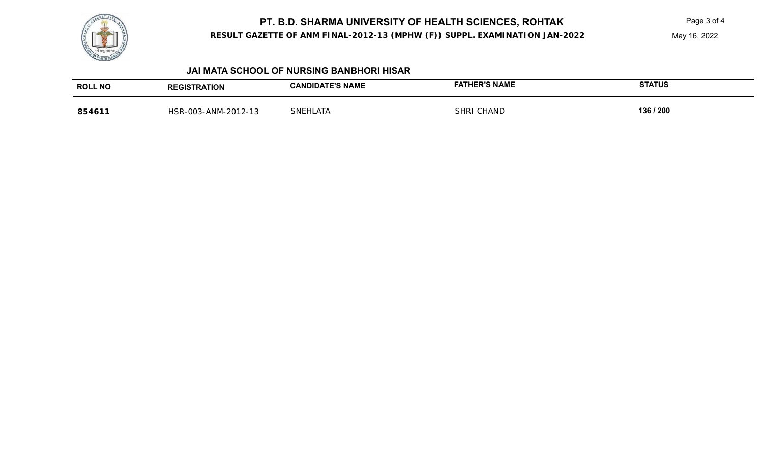

**RESULT GAZETTE OF ANM FINAL-2012-13 (MPHW (F)) SUPPL. EXAMINATION JAN-2022**

May 16, 2022

#### **JAI MATA SCHOOL OF NURSING BANBHORI HISAR**

| <b>ROLL NO</b> | <b>RATION</b>                                            | <b>ATE'S NAME</b><br><b>ANDIDAL</b> | <b>HER'S NAME</b>   | <b>STATUS</b> |
|----------------|----------------------------------------------------------|-------------------------------------|---------------------|---------------|
| 854611         | 2012.12<br>003-ANM<br>HSR-<br>ا ت ا− '<br>. <i>. .</i> . | <b>SNEL</b><br>$\sim$<br>.AI F      | <b>HAND</b><br>SHR! | 136 / 200     |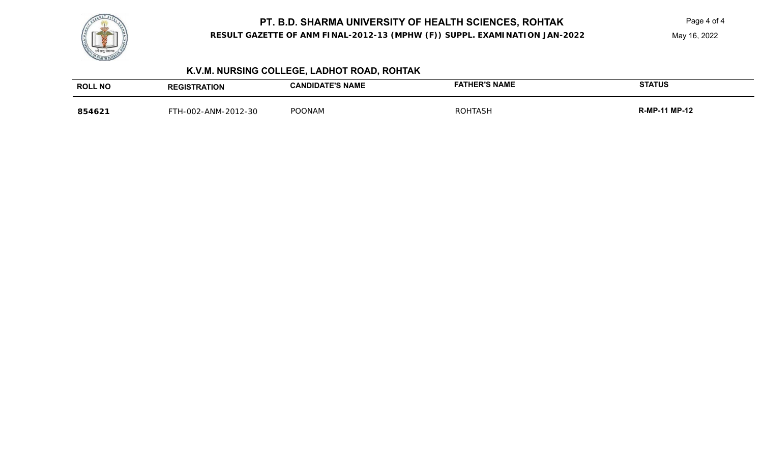

**RESULT GAZETTE OF ANM FINAL-2012-13 (MPHW (F)) SUPPL. EXAMINATION JAN-2022**

May 16, 2022

# **K.V.M. NURSING COLLEGE, LADHOT ROAD, ROHTAK**

| <b>ROLL NO</b> | <b>REGISTRATION</b> | <b>CANDIDATE'S NAME</b> | <b>FATHER'S NAME</b> | <b>STATUS</b>        |
|----------------|---------------------|-------------------------|----------------------|----------------------|
| 854621         | H-002-ANM-2012-30   | <b>POONAM</b>           | <b>ROHTASH</b>       | <b>R-MP-11 MP-12</b> |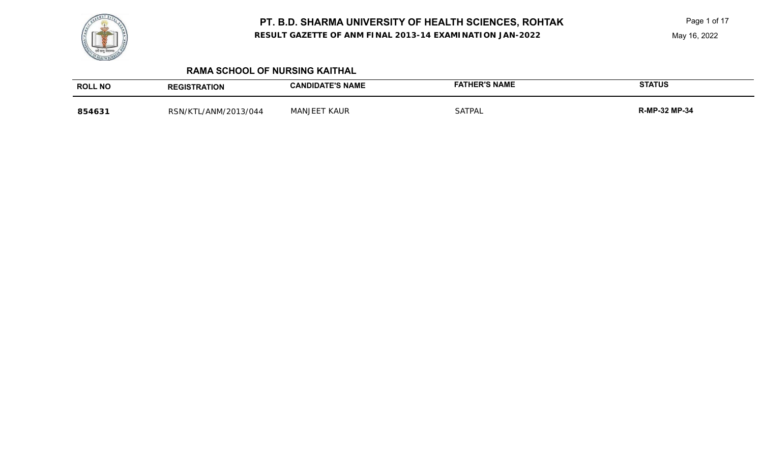**RESULT GAZETTE OF ANM FINAL 2013-14 EXAMINATION JAN-2022**

Page 1 of 17

# **RAMA SCHOOL OF NURSING KAITHAL**

| <b>ROLL NO</b> | <b>REGISTRATION</b>  | <b>CANDIDATE'S NAME</b> | <b>FATHER'S NAME</b> | <b>STATUS</b>        |
|----------------|----------------------|-------------------------|----------------------|----------------------|
| 854631         | RSN/KTL/ANM/2013/044 | <b>MANJEET KAUR</b>     | SATPAL               | <b>R-MP-32 MP-34</b> |

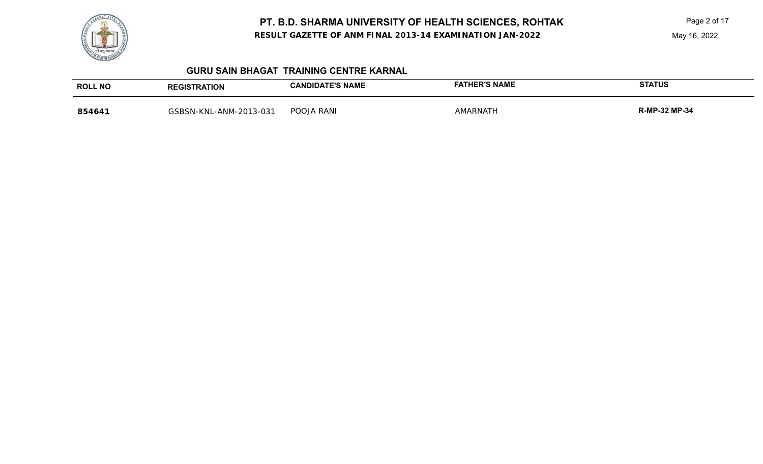

**RESULT GAZETTE OF ANM FINAL 2013-14 EXAMINATION JAN-2022**

Page 2 of 17

May 16, 2022

#### **GURU SAIN BHAGAT TRAINING CENTRE KARNAL**

| <b>ROLL NO</b> | <b>REGISTRATION</b>    | <b>CANDIDATE'S NAME</b> | FATHER'S NAME | <b>STATUS</b>        |
|----------------|------------------------|-------------------------|---------------|----------------------|
| 854641         | GSBSN-KNL-ANM-2013-031 | POOJA RANI              | MARNATH       | <b>R-MP-32 MP-34</b> |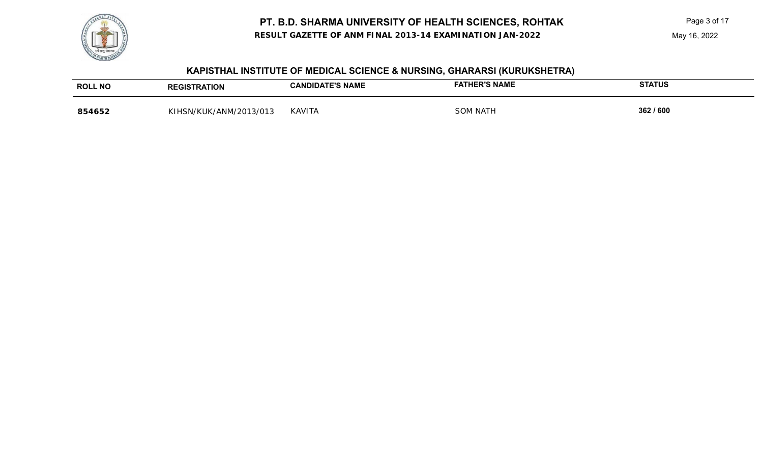**RESULT GAZETTE OF ANM FINAL 2013-14 EXAMINATION JAN-2022**

#### May 16, 2022

| <b>ROLL NO</b> | <b>REGISTRATION</b>        | CANDIDATE'S NAME | <b>HER'S NAME</b><br>FATH | <b>STATUS</b> |
|----------------|----------------------------|------------------|---------------------------|---------------|
| 854652         | /ANM/2013/013<br>KIHSN/KUK | <b>KAVITA</b>    | NATH                      | 362 / 600     |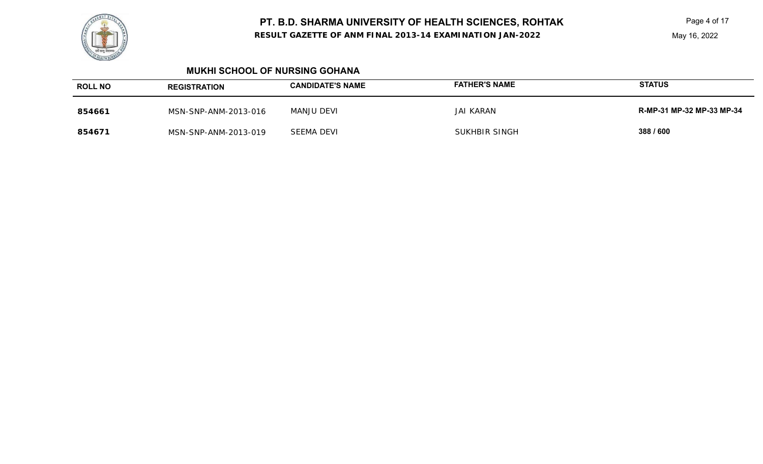**RESULT GAZETTE OF ANM FINAL 2013-14 EXAMINATION JAN-2022**

Page 4 of 17

May 16, 2022

#### **MUKHI SCHOOL OF NURSING GOHANA**

| <b>ROLL NO</b> | <b>REGISTRATION</b>  | <b>CANDIDATE'S NAME</b> | <b>FATHER'S NAME</b> | <b>STATUS</b>             |
|----------------|----------------------|-------------------------|----------------------|---------------------------|
| 854661         | MSN-SNP-ANM-2013-016 | MANJU DEVI              | <b>JAI KARAN</b>     | R-MP-31 MP-32 MP-33 MP-34 |
| 854671         | MSN-SNP-ANM-2013-019 | SEEMA DEVI              | SUKHBIR SINGH        | 388 / 600                 |

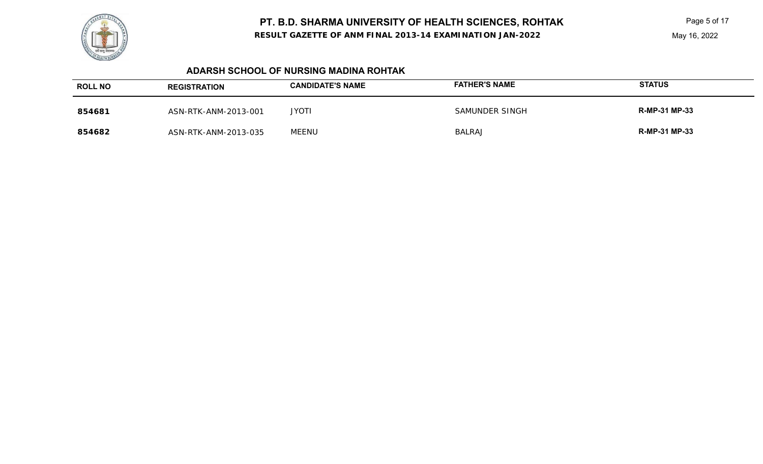

**RESULT GAZETTE OF ANM FINAL 2013-14 EXAMINATION JAN-2022**

Page 5 of 17

#### **ADARSH SCHOOL OF NURSING MADINA ROHTAK**

| <b>ROLL NO</b> | <b>REGISTRATION</b>  | <b>CANDIDATE'S NAME</b> | <b>FATHER'S NAME</b> | <b>STATUS</b>        |
|----------------|----------------------|-------------------------|----------------------|----------------------|
| 854681         | ASN-RTK-ANM-2013-001 | <b>JYOTI</b>            | SAMUNDER SINGH       | <b>R-MP-31 MP-33</b> |
| 854682         | ASN-RTK-ANM-2013-035 | MEENU                   | <b>BALRAJ</b>        | <b>R-MP-31 MP-33</b> |

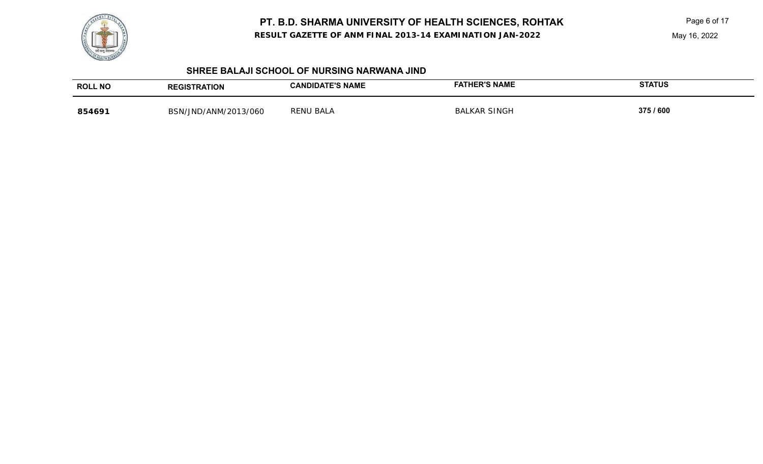

**RESULT GAZETTE OF ANM FINAL 2013-14 EXAMINATION JAN-2022**

Page 6 of 17

May 16, 2022

#### **SHREE BALAJI SCHOOL OF NURSING NARWANA JIND**

| <b>ROLL NO</b> | <b>REGISTRATION</b>  | <b>CANDIDATE'S NAME</b> | <b>FATHER'S NAME</b> | <b>STATUS</b> |
|----------------|----------------------|-------------------------|----------------------|---------------|
| 854691         | BSN/JND/ANM/2013/060 | <b>RENU BALA</b>        | <b>BALKAR SINGH</b>  | 375 / 600     |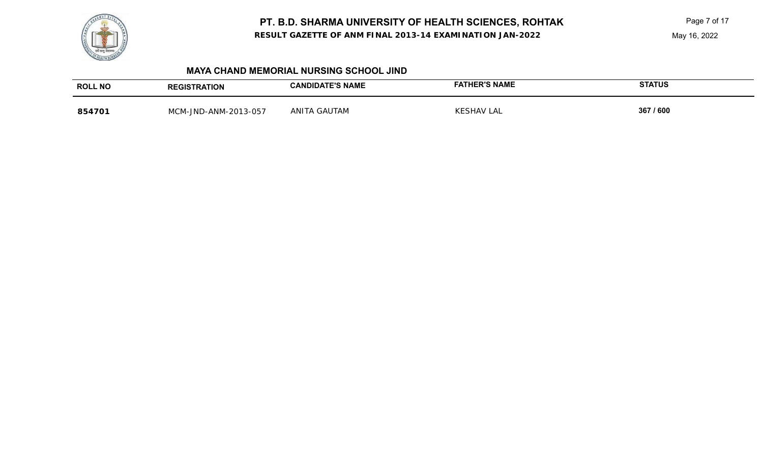

**RESULT GAZETTE OF ANM FINAL 2013-14 EXAMINATION JAN-2022**

Page 7 of 17

#### **MAYA CHAND MEMORIAL NURSING SCHOOL JIND**

| <b>ROLL NO</b> | <b>REGISTRATION</b>       | <b>ATE'S NAME</b><br><b>CANDIDA.</b> | <b>HER'S NAME</b><br>FAT | <b>STATUS</b> |
|----------------|---------------------------|--------------------------------------|--------------------------|---------------|
| 85470          | MCM-IND<br>D-ANM-2013-057 | ANITA<br>GAUTAM                      | KESHAV LAL               | 367 / 600     |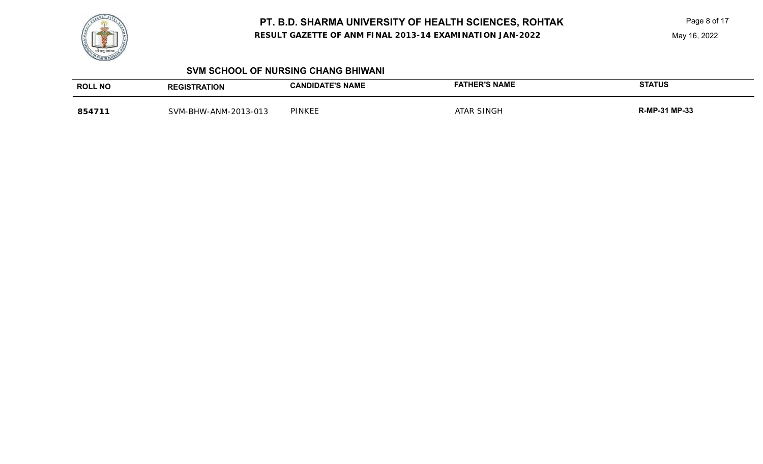

**RESULT GAZETTE OF ANM FINAL 2013-14 EXAMINATION JAN-2022**

Page 8 of 17

May 16, 2022

#### **SVM SCHOOL OF NURSING CHANG BHIWANI**

| <b>ROLL NO</b> | <b>GISTRATION</b>        | CANDIDATE'S NAME | <b>ER'S NAME</b> | <b>STATUS</b>   |
|----------------|--------------------------|------------------|------------------|-----------------|
| 854711         | V-ANM-2013-013<br>SVM-BH | <b>PINKEE</b>    | SINGH<br>TAR     | 1 MP-33<br>R-MP |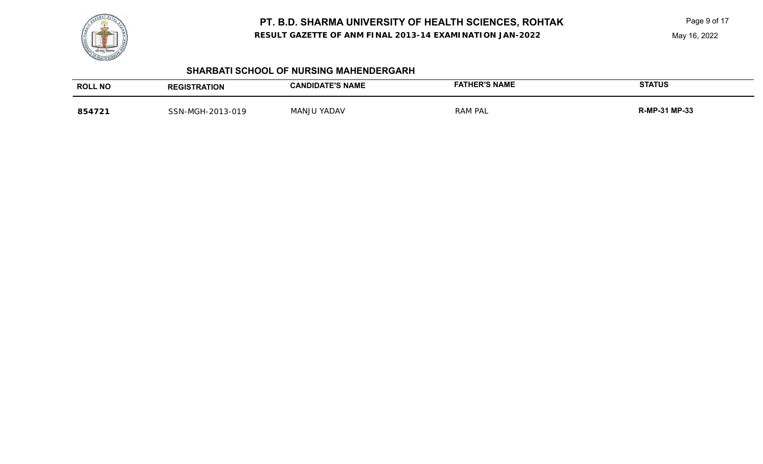

**RESULT GAZETTE OF ANM FINAL 2013-14 EXAMINATION JAN-2022**

Page 9 of 17

May 16, 2022

#### **SHARBATI SCHOOL OF NURSING MAHENDERGARH**

| <b>ROLL NO</b> | <b>REGISTRATION</b>     | <b>CANDIDATE'S NAME</b> | <b>FATHER'S NAME</b> | <b>STATUS</b>        |
|----------------|-------------------------|-------------------------|----------------------|----------------------|
| 854721         | $-2013-019$<br>SSN-MGH- | I YADAV<br>MANJU        | <b>RAM PAL</b>       | <b>R-MP-31 MP-33</b> |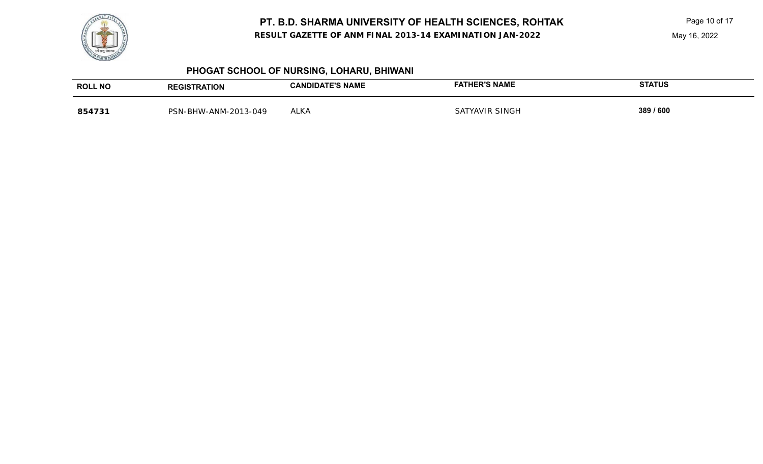

**RESULT GAZETTE OF ANM FINAL 2013-14 EXAMINATION JAN-2022**

Page 10 of 17

May 16, 2022

# **PHOGAT SCHOOL OF NURSING, LOHARU, BHIWANI**

| <b>ROLL NO</b> | <b>TRATION</b><br><b>REGIST</b>      | <b>CANDIDATE'S NAME</b> | <b>ER'S NAME</b>  | <b>STATUS</b> |
|----------------|--------------------------------------|-------------------------|-------------------|---------------|
| 85473          | 2013-049-،<br>ANM-<br><b>PSN-RHW</b> | ALKA                    | SINGH<br>SATYAVIR | 389 / 600     |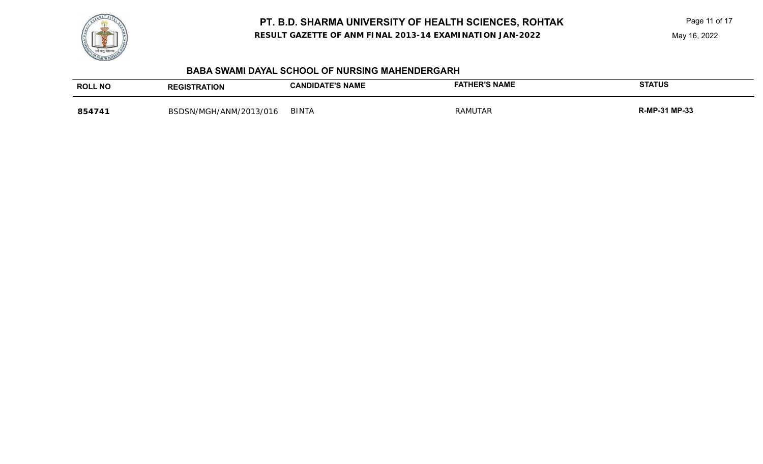**RESULT GAZETTE OF ANM FINAL 2013-14 EXAMINATION JAN-2022**

Page 11 of 17



#### **BABA SWAMI DAYAL SCHOOL OF NURSING MAHENDERGARH**

| <b>ROLL NO</b> | <b>TRATION</b>                              | <b>DATE'S NAME</b><br>DIDA<br>'ΑN. | ER'S NAME      | <b>STATUS</b>      |
|----------------|---------------------------------------------|------------------------------------|----------------|--------------------|
| 85474          | 1/4NM/2011<br>3/016<br><b>RSDSN</b><br>/MGH | <b>BINTA</b>                       | <b>RAMUTAR</b> | -31 MP-33<br>$R-M$ |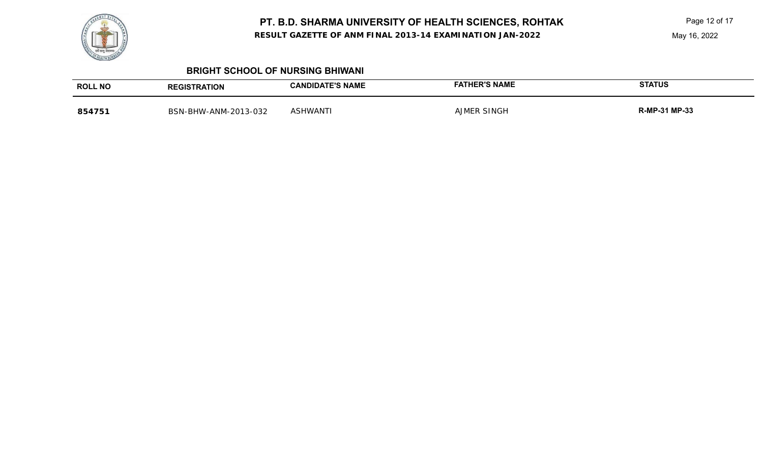**RESULT GAZETTE OF ANM FINAL 2013-14 EXAMINATION JAN-2022**

Page 12 of 17

#### **BRIGHT SCHOOL OF NURSING BHIWANI**

| <b>ROLL NO</b> | <b>REGISTRATION</b>                              | <b>CANDIDATE'S NAME</b> | <b>HER'S NAME</b><br>≅АТН              | <b>STATUS</b>        |
|----------------|--------------------------------------------------|-------------------------|----------------------------------------|----------------------|
| 85475          | -ANM-2013-032<br>BSN-<br>` <sup>N</sup> -BHW-Ar. | ASHWANT'                | SINGH<br>$\triangle$ IN $\blacksquare$ | <b>R-MP-31 MP-33</b> |

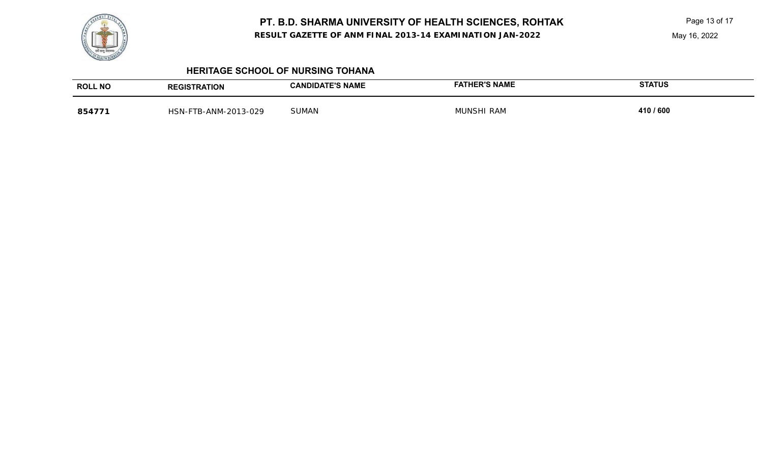

**RESULT GAZETTE OF ANM FINAL 2013-14 EXAMINATION JAN-2022**

Page 13 of 17

May 16, 2022

#### **HERITAGE SCHOOL OF NURSING TOHANA**

| <b>ROLL NO</b> | <b>REGISTRATION</b>      | <b>CANDIDATE'S NAME</b> | <b>FATHER'S NAME</b> | <b>STATUS</b> |
|----------------|--------------------------|-------------------------|----------------------|---------------|
| 854771         | TB-ANM-2013-029<br>HSN-F | <b>SUMAN</b>            | <b>MUNSHI RAM</b>    | 410 / 600     |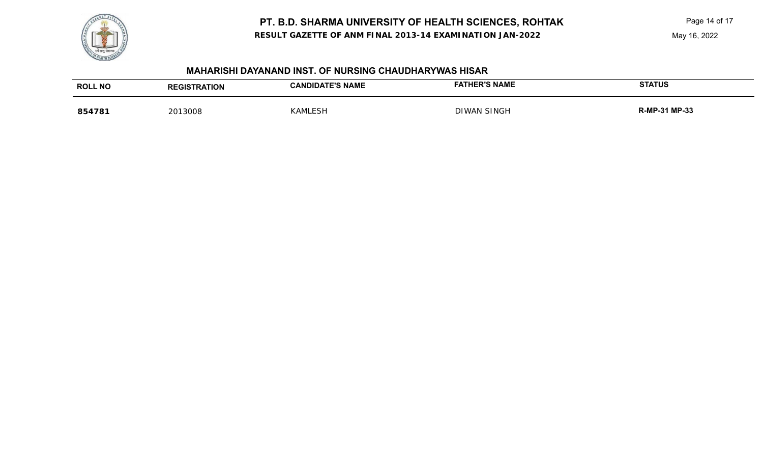**RESULT GAZETTE OF ANM FINAL 2013-14 EXAMINATION JAN-2022**



#### **MAHARISHI DAYANAND INST. OF NURSING CHAUDHARYWAS HISAR**

| <b>ROLL NO</b> | <b>REGISTRATION</b> | <b>CANDIDATE'S NAME</b> | FATHER'S NAME      | <b>STATUS</b> |
|----------------|---------------------|-------------------------|--------------------|---------------|
| 854781         | 2013008             | KAMLESH                 | <b>DIWAN SINGH</b> | R-MP-31 MP-33 |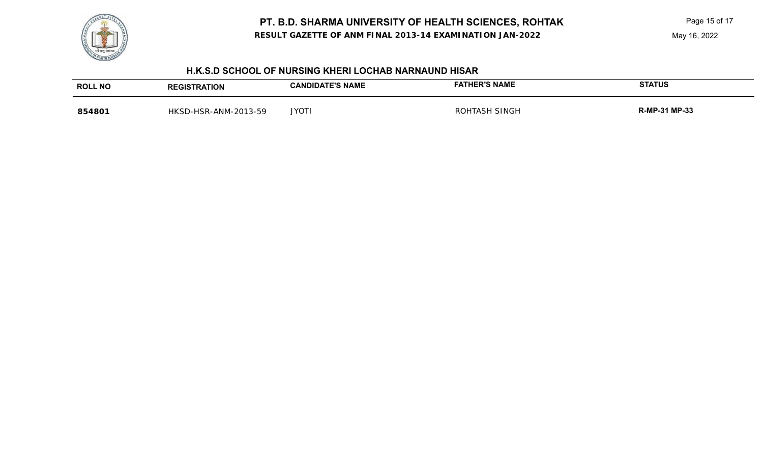**RESULT GAZETTE OF ANM FINAL 2013-14 EXAMINATION JAN-2022**

Page 15 of 17

May 16, 2022



#### **H.K.S.D SCHOOL OF NURSING KHERI LOCHAB NARNAUND HISAR**

| <b>ROLL NO</b> | <b>ATION</b><br>GIS                              | <b>E'S NAME</b><br><b>JAND</b><br>IDA | <b>FATHER'S NAME</b> | <b>STATUS</b>   |
|----------------|--------------------------------------------------|---------------------------------------|----------------------|-----------------|
| 854801         | 13-59<br>ົດດາ<br>HSR-<br>∴-ANM ∴<br>$\mathbf{v}$ | <b>JYOT</b>                           | SINGF                | -31 MP-33<br>лс |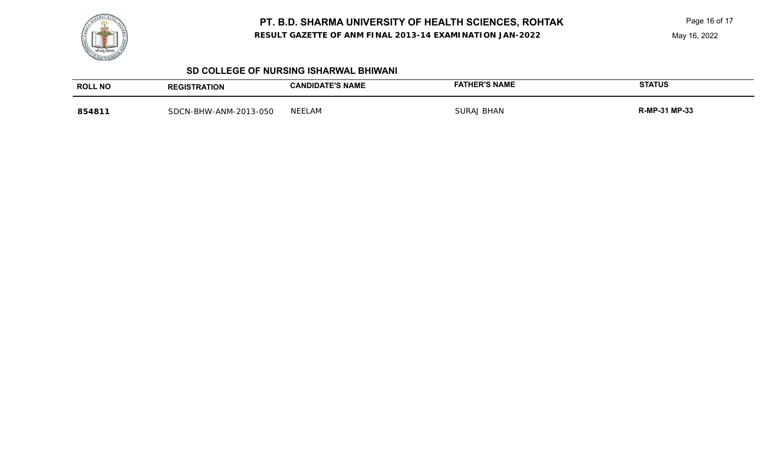

**RESULT GAZETTE OF ANM FINAL 2013-14 EXAMINATION JAN-2022**

Page 16 of 17

May 16, 2022

#### **SD COLLEGE OF NURSING ISHARWAL BHIWANI**

| <b>ROLL NO</b> | <b>REGISTRATION</b>   | <b>CANDIDATE'S NAME</b> | FATHER'S NAME | <b>STATUS</b>        |
|----------------|-----------------------|-------------------------|---------------|----------------------|
| 854811         | SDCN-BHW-ANM-2013-050 | <b>NEELAM</b>           | SURAJ BHAN    | <b>R-MP-31 MP-33</b> |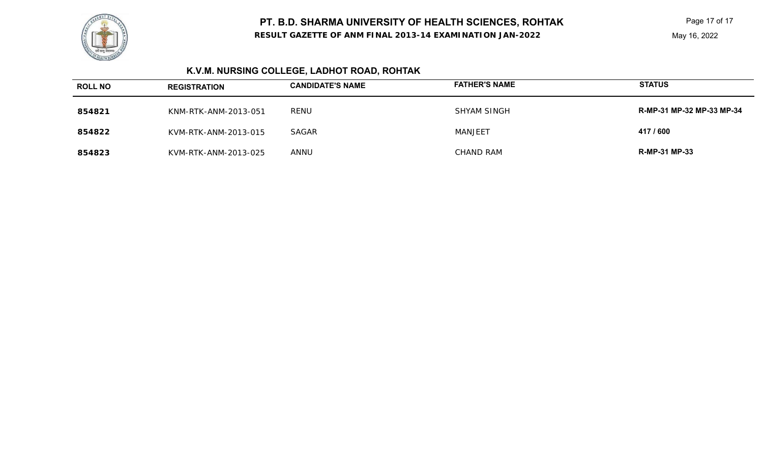

**RESULT GAZETTE OF ANM FINAL 2013-14 EXAMINATION JAN-2022**

Page 17 of 17

# **K.V.M. NURSING COLLEGE, LADHOT ROAD, ROHTAK**

| <b>ROLL NO</b> | <b>REGISTRATION</b>  | <b>CANDIDATE'S NAME</b> | <b>FATHER'S NAME</b> | <b>STATUS</b>             |
|----------------|----------------------|-------------------------|----------------------|---------------------------|
| 854821         | KNM-RTK-ANM-2013-051 | RENU                    | <b>SHYAM SINGH</b>   | R-MP-31 MP-32 MP-33 MP-34 |
| 854822         | KVM-RTK-ANM-2013-015 | SAGAR                   | MANJEET              | 417 / 600                 |
| 854823         | KVM-RTK-ANM-2013-025 | ANNU                    | CHAND RAM            | <b>R-MP-31 MP-33</b>      |

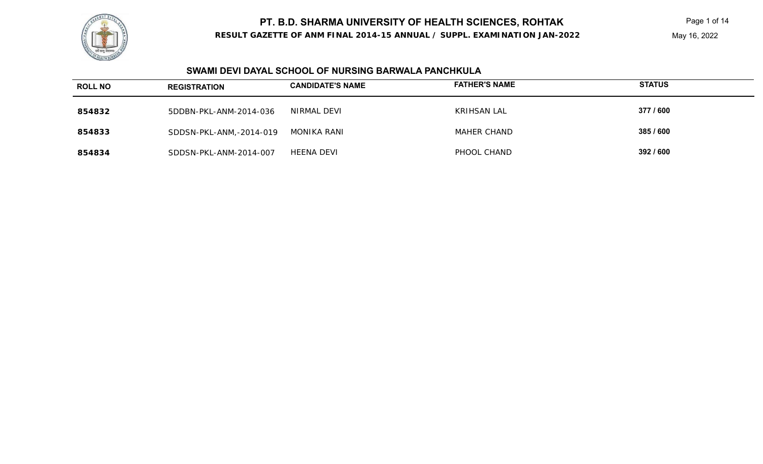

#### **RESULT GAZETTE OF ANM FINAL 2014-15 ANNUAL / SUPPL. EXAMINATION JAN-2022**

May 16, 2022

#### **SWAMI DEVI DAYAL SCHOOL OF NURSING BARWALA PANCHKULA**

| <b>ROLL NO</b> | <b>REGISTRATION</b>     | <b>CANDIDATE'S NAME</b> | <b>FATHER'S NAME</b> | <b>STATUS</b> |
|----------------|-------------------------|-------------------------|----------------------|---------------|
| 854832         | 5DDBN-PKL-ANM-2014-036  | NIRMAL DEVI             | KRIHSAN LAL          | 377 / 600     |
| 854833         | SDDSN-PKL-ANM,-2014-019 | MONIKA RANI             | MAHER CHAND          | 385 / 600     |
| 854834         | SDDSN-PKL-ANM-2014-007  | <b>HEENA DEVI</b>       | PHOOL CHAND          | 392 / 600     |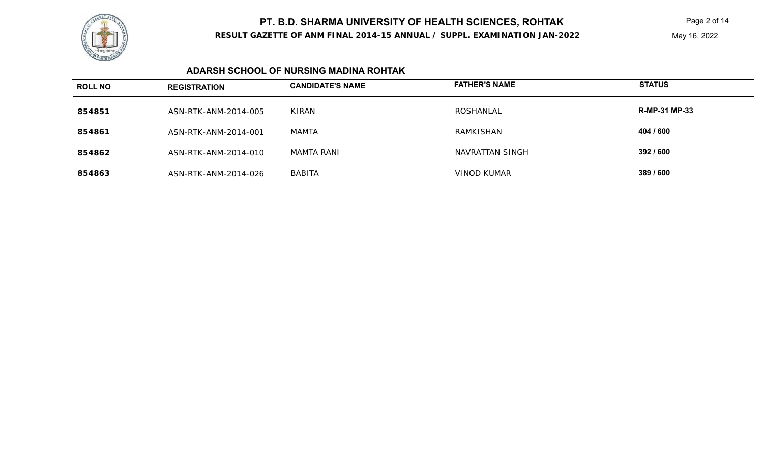

#### **RESULT GAZETTE OF ANM FINAL 2014-15 ANNUAL / SUPPL. EXAMINATION JAN-2022**

May 16, 2022

#### **ADARSH SCHOOL OF NURSING MADINA ROHTAK**

| <b>ROLL NO</b> | <b>REGISTRATION</b>  | <b>CANDIDATE'S NAME</b> | <b>FATHER'S NAME</b> | <b>STATUS</b>        |
|----------------|----------------------|-------------------------|----------------------|----------------------|
| 854851         | ASN-RTK-ANM-2014-005 | KIRAN                   | ROSHANLAL            | <b>R-MP-31 MP-33</b> |
| 854861         | ASN-RTK-ANM-2014-001 | MAMTA                   | RAMKISHAN            | 404 / 600            |
| 854862         | ASN-RTK-ANM-2014-010 | MAMTA RANI              | NAVRATTAN SINGH      | 392 / 600            |
| 854863         | ASN-RTK-ANM-2014-026 | <b>BABITA</b>           | VINOD KUMAR          | 389 / 600            |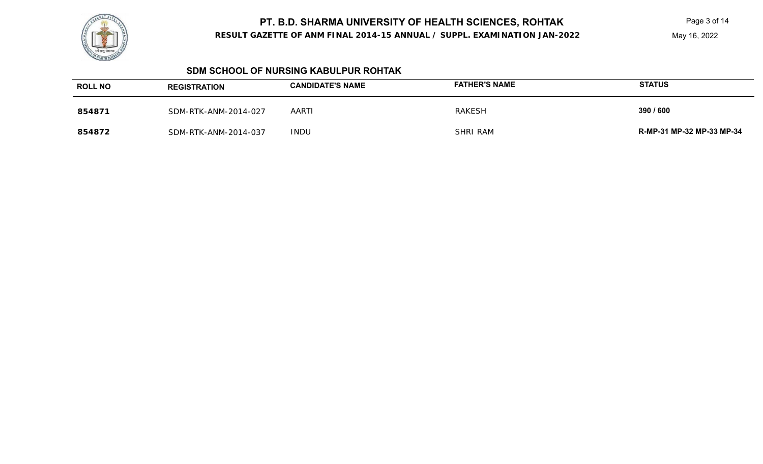

#### **RESULT GAZETTE OF ANM FINAL 2014-15 ANNUAL / SUPPL. EXAMINATION JAN-2022**

May 16, 2022

#### **SDM SCHOOL OF NURSING KABULPUR ROHTAK**

| <b>ROLL NO</b> | <b>REGISTRATION</b>  | <b>CANDIDATE'S NAME</b> | <b>FATHER'S NAME</b> | <b>STATUS</b>             |
|----------------|----------------------|-------------------------|----------------------|---------------------------|
| 854871         | SDM-RTK-ANM-2014-027 | <b>AARTI</b>            | RAKESH               | 390 / 600                 |
| 854872         | SDM-RTK-ANM-2014-037 | <b>INDU</b>             | <b>SHRI RAM</b>      | R-MP-31 MP-32 MP-33 MP-34 |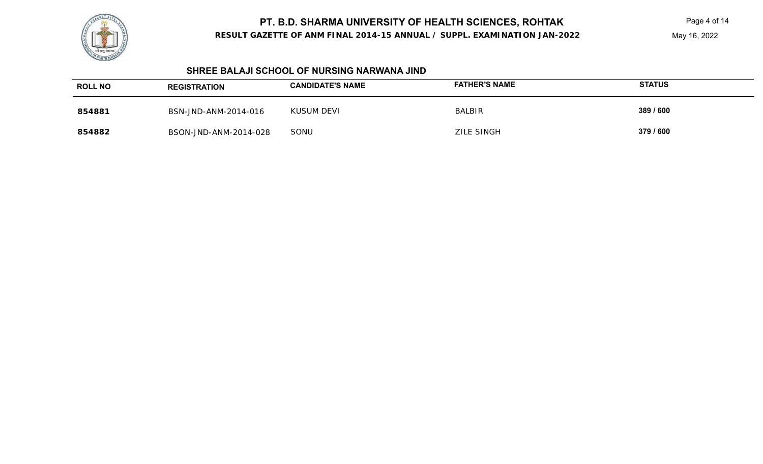

**RESULT GAZETTE OF ANM FINAL 2014-15 ANNUAL / SUPPL. EXAMINATION JAN-2022**

May 16, 2022

#### **SHREE BALAJI SCHOOL OF NURSING NARWANA JIND**

| <b>ROLL NO</b> | <b>REGISTRATION</b>   | <b>CANDIDATE'S NAME</b> | <b>FATHER'S NAME</b> | <b>STATUS</b> |
|----------------|-----------------------|-------------------------|----------------------|---------------|
| 854881         | BSN-JND-ANM-2014-016  | KUSUM DEVI              | <b>BALBIR</b>        | 389 / 600     |
| 854882         | BSON-JND-ANM-2014-028 | SONU                    | <b>ZILE SINGH</b>    | 379 / 600     |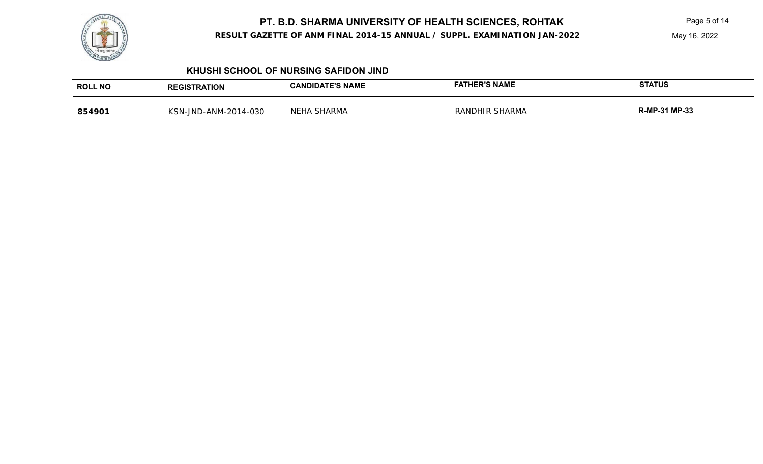

**RESULT GAZETTE OF ANM FINAL 2014-15 ANNUAL / SUPPL. EXAMINATION JAN-2022**

May 16, 2022

#### **KHUSHI SCHOOL OF NURSING SAFIDON JIND**

| <b>ROLL NO</b> | <b>REGISTRATION</b>  | <b>CANDIDATE'S NAME</b> | <b>HER'S NAME</b><br>FATI | <b>STATUS</b>        |
|----------------|----------------------|-------------------------|---------------------------|----------------------|
| 854901         | KSN-JND-ANM-2014-030 | NEHA SHARMA             | RANDHIR SHARMA            | <b>R-MP-31 MP-33</b> |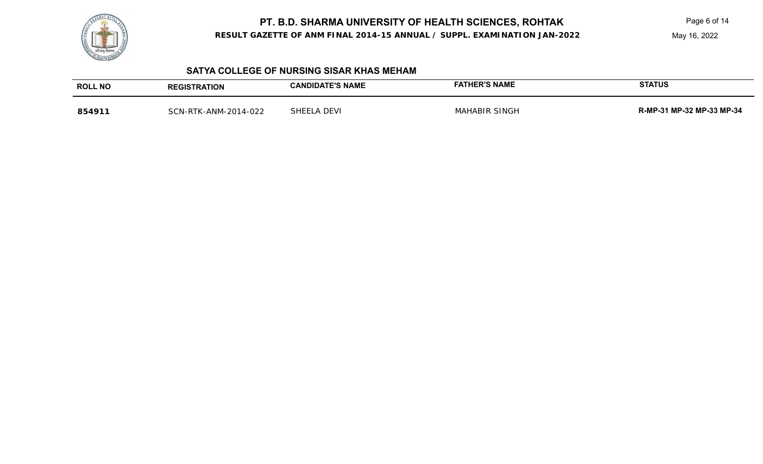

**RESULT GAZETTE OF ANM FINAL 2014-15 ANNUAL / SUPPL. EXAMINATION JAN-2022**

May 16, 2022

#### **SATYA COLLEGE OF NURSING SISAR KHAS MEHAM**

| <b>ROLL NO</b> | <b>REGISTRATION</b>  | <b>CANDIDATE'S NAME</b> | <b>FATHER'S NAME</b> | <b>STATUS</b>             |
|----------------|----------------------|-------------------------|----------------------|---------------------------|
| 854911         | SCN-RTK-ANM-2014-022 | SHEELA DEVI             | <b>MAHABIR SINGH</b> | R-MP-31 MP-32 MP-33 MP-34 |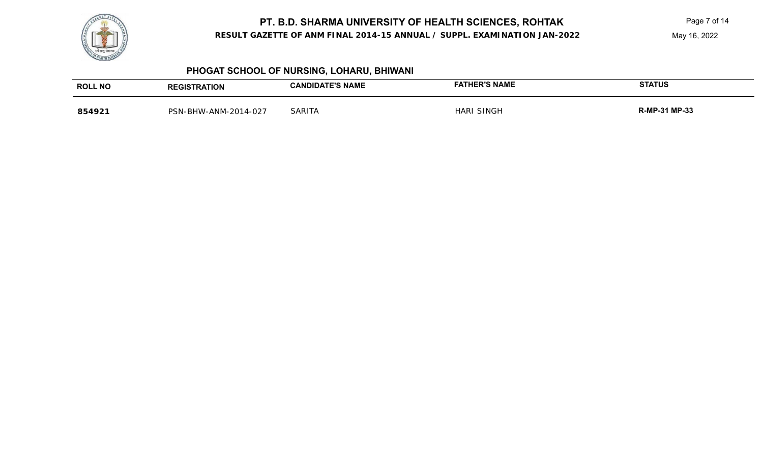

**RESULT GAZETTE OF ANM FINAL 2014-15 ANNUAL / SUPPL. EXAMINATION JAN-2022**

May 16, 2022

# **PHOGAT SCHOOL OF NURSING, LOHARU, BHIWANI**

| <b>ROLL NO</b> | <b>REGISTRATION</b>  | <b>CANDIDATE'S NAME</b> | <b>FATHER'S NAME</b> | <b>STATUS</b> |
|----------------|----------------------|-------------------------|----------------------|---------------|
| 854921         | PSN-BHW-ANM-2014-027 | <b>SARITA</b>           | <b>HARI SINGH</b>    | R-MP-31 MP-33 |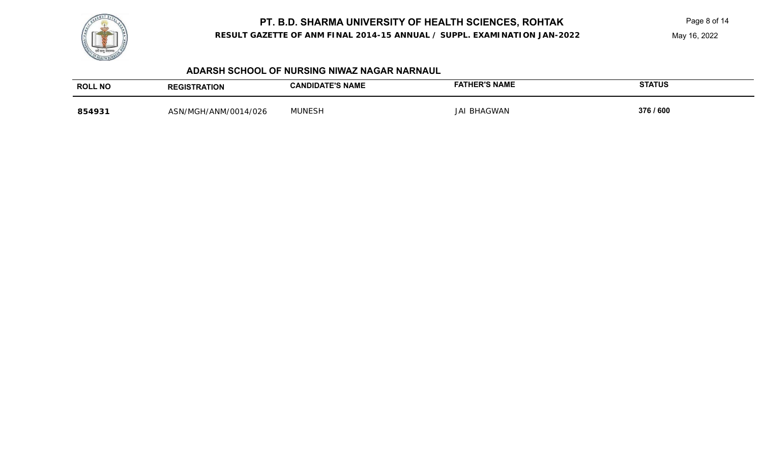

**RESULT GAZETTE OF ANM FINAL 2014-15 ANNUAL / SUPPL. EXAMINATION JAN-2022**

May 16, 2022

#### **ADARSH SCHOOL OF NURSING NIWAZ NAGAR NARNAUL**

| <b>ROLL NO</b> | <b>REGISTRATION</b>  | <b>CANDIDATE'S NAME</b> | <b>FATHER'S NAME</b> | <b>STATUS</b> |
|----------------|----------------------|-------------------------|----------------------|---------------|
| 854931         | ASN/MGH/ANM/0014/026 | <b>MUNESH</b>           | <b>JAI BHAGWAN</b>   | 376 / 600     |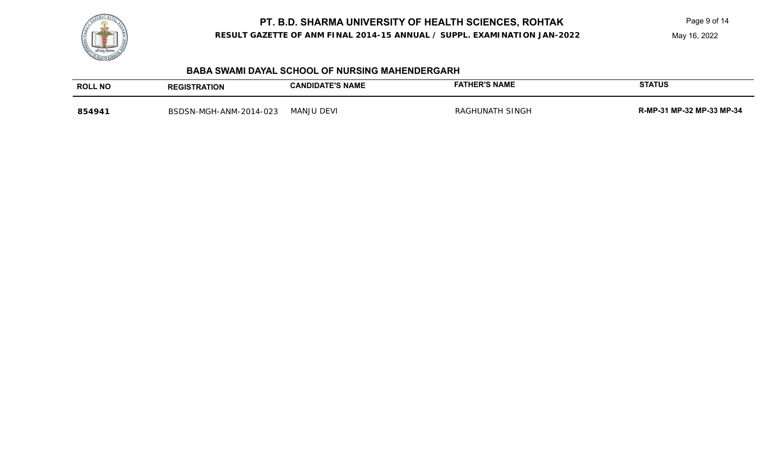

**RESULT GAZETTE OF ANM FINAL 2014-15 ANNUAL / SUPPL. EXAMINATION JAN-2022**

May 16, 2022

#### **BABA SWAMI DAYAL SCHOOL OF NURSING MAHENDERGARH**

| <b>ROLL NO</b> | <b>REGISTRATION</b>    | <b>CANDIDATE'S NAME</b> | <b>FATHER'S NAME</b> | STATUS                    |
|----------------|------------------------|-------------------------|----------------------|---------------------------|
| 854941         | BSDSN-MGH-ANM-2014-023 | <b>MANJU DEVI</b>       | RAGHUNATH SINGH      | R-MP-31 MP-32 MP-33 MP-34 |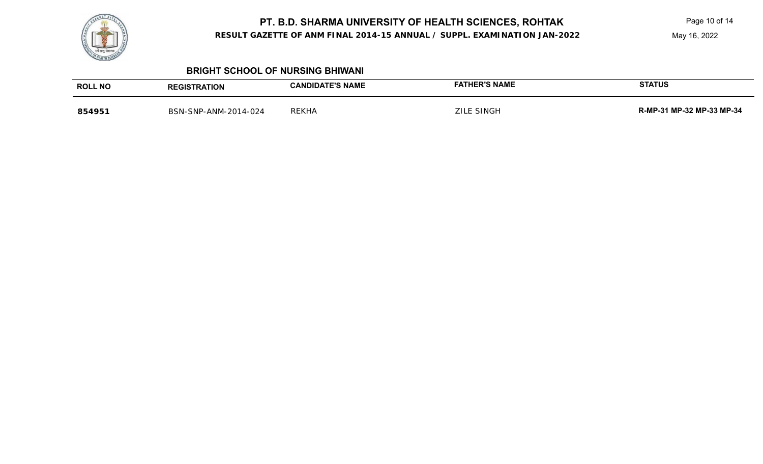**RESULT GAZETTE OF ANM FINAL 2014-15 ANNUAL / SUPPL. EXAMINATION JAN-2022**

May 16, 2022

#### **BRIGHT SCHOOL OF NURSING BHIWANI**

| <b>ROLL NO</b> | <b>REGISTRATION</b>  | <b>CANDIDATE'S NAME</b> | <b>FATHER'S NAME</b> | <b>STATUS</b>             |
|----------------|----------------------|-------------------------|----------------------|---------------------------|
| 854951         | BSN-SNP-ANM-2014-024 | <b>REKHA</b>            | ์ SINGH<br>711 F     | R-MP-31 MP-32 MP-33 MP-34 |

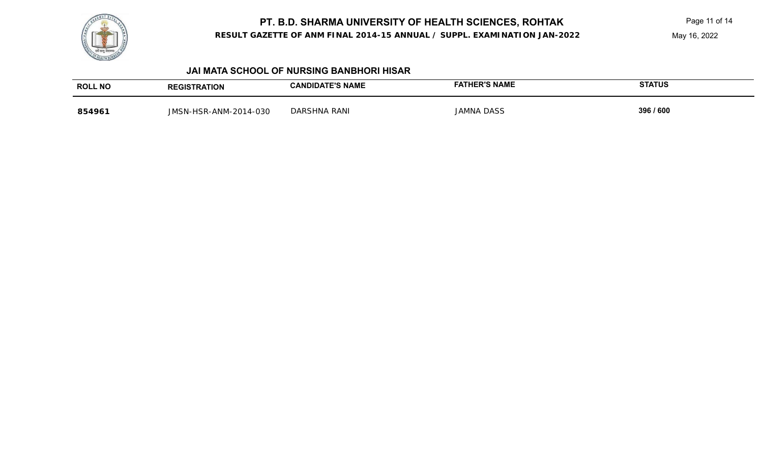

**RESULT GAZETTE OF ANM FINAL 2014-15 ANNUAL / SUPPL. EXAMINATION JAN-2022**

May 16, 2022

#### **JAI MATA SCHOOL OF NURSING BANBHORI HISAR**

| <b>ROLL NO</b> | <b>REGISTRATION</b>         | <b>CANDIDATE'S NAME</b> | <b>FATHER'S NAME</b> | <b>STATUS</b> |
|----------------|-----------------------------|-------------------------|----------------------|---------------|
| 854961         | I-HSR-ANM-2014-030<br>IMSN. | DARSHNA RANI            | JAMNA DASS           | 396 / 600     |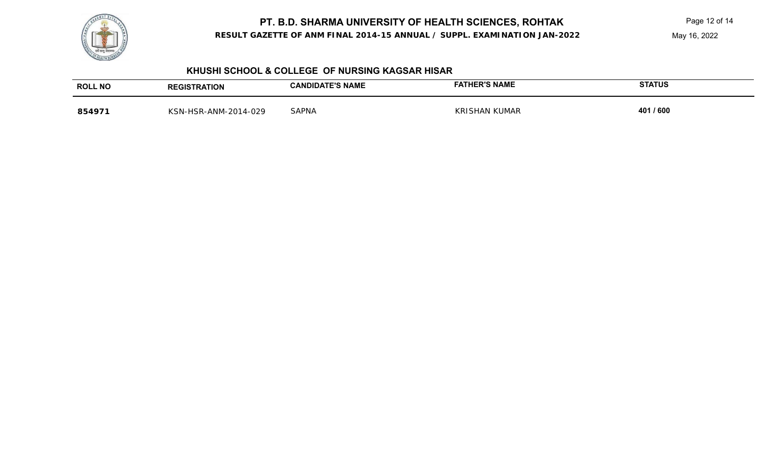

**RESULT GAZETTE OF ANM FINAL 2014-15 ANNUAL / SUPPL. EXAMINATION JAN-2022**

May 16, 2022

#### **KHUSHI SCHOOL & COLLEGE OF NURSING KAGSAR HISAR**

| <b>ROLL NO</b> | <b>TRATION</b>                       | <b>E'S NAME</b><br><b>ANDIDATL</b> | <b>SI'S NAME</b>                | <b>STATUS</b> |
|----------------|--------------------------------------|------------------------------------|---------------------------------|---------------|
| 854971         | -2014-029<br><b>VSN-</b><br>-HSR-ANM | <b>SAPNA</b>                       | <b>KUMAR</b><br>KRI'<br>`SHAN . | 401 / 600     |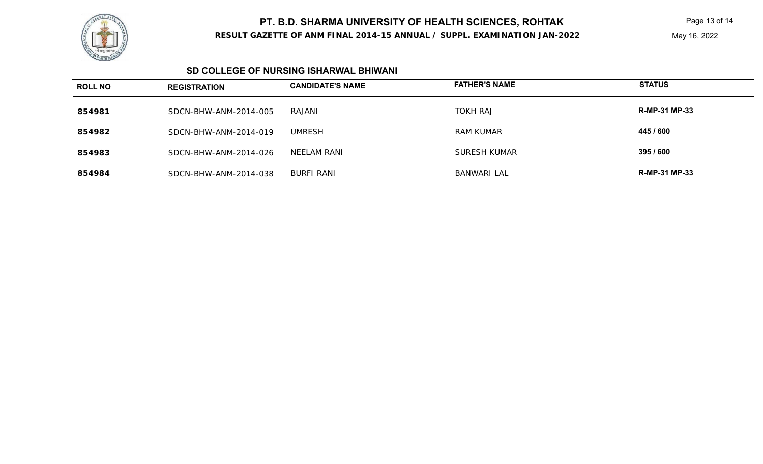

#### **RESULT GAZETTE OF ANM FINAL 2014-15 ANNUAL / SUPPL. EXAMINATION JAN-2022**

May 16, 2022

#### **SD COLLEGE OF NURSING ISHARWAL BHIWANI**

| <b>ROLL NO</b> | <b>REGISTRATION</b>   | <b>CANDIDATE'S NAME</b> | <b>FATHER'S NAME</b> | <b>STATUS</b>        |
|----------------|-----------------------|-------------------------|----------------------|----------------------|
| 854981         | SDCN-BHW-ANM-2014-005 | RAJANI                  | <b>TOKH RAJ</b>      | <b>R-MP-31 MP-33</b> |
| 854982         | SDCN-BHW-ANM-2014-019 | UMRESH                  | <b>RAM KUMAR</b>     | 445 / 600            |
| 854983         | SDCN-BHW-ANM-2014-026 | NEELAM RANI             | <b>SURESH KUMAR</b>  | 395 / 600            |
| 854984         | SDCN-BHW-ANM-2014-038 | BURFI RANI              | <b>BANWARI LAL</b>   | <b>R-MP-31 MP-33</b> |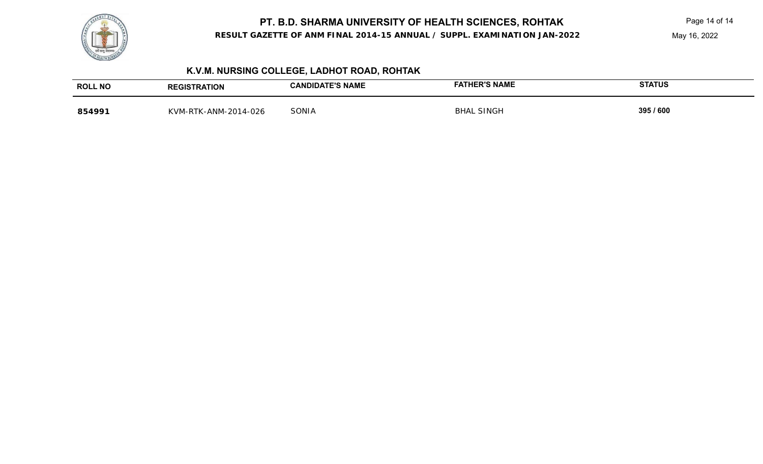

**RESULT GAZETTE OF ANM FINAL 2014-15 ANNUAL / SUPPL. EXAMINATION JAN-2022**

May 16, 2022

# **K.V.M. NURSING COLLEGE, LADHOT ROAD, ROHTAK**

| <b>ROLL NO</b> | REGISTRATION         | <b>CANDIDATE'S NAME</b> | <b>FATHER'S NAME</b> | <b>STATUS</b> |
|----------------|----------------------|-------------------------|----------------------|---------------|
| 854991         | KVM-RTK-ANM-2014-026 | SONIA                   | SINGH<br>BHAL        | 395 / 600     |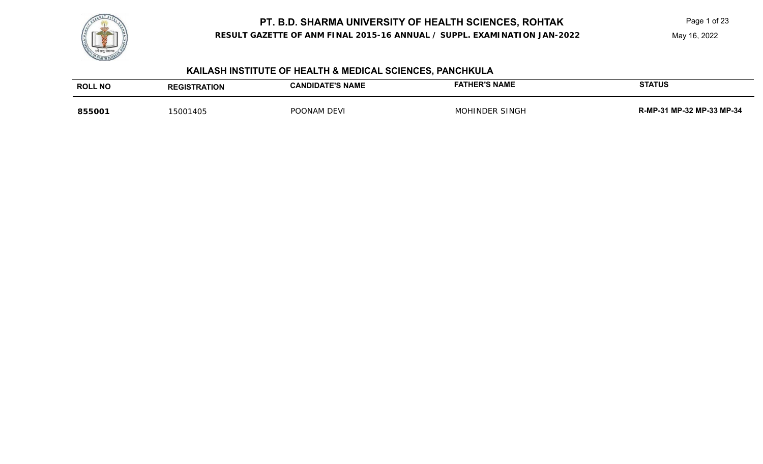

**RESULT GAZETTE OF ANM FINAL 2015-16 ANNUAL / SUPPL. EXAMINATION JAN-2022**

May 16, 2022

# **KAILASH INSTITUTE OF HEALTH & MEDICAL SCIENCES, PANCHKULA**

| <b>ROLL NO</b> | <b>REGISTRATION</b> | <b>CANDIDATE'S NAME</b> | <b>FATHER'S NAME</b>  | <b>STATUS</b>             |
|----------------|---------------------|-------------------------|-----------------------|---------------------------|
| 855001         | 15001405            | POONAM DEVI             | <b>MOHINDER SINGH</b> | R-MP-31 MP-32 MP-33 MP-34 |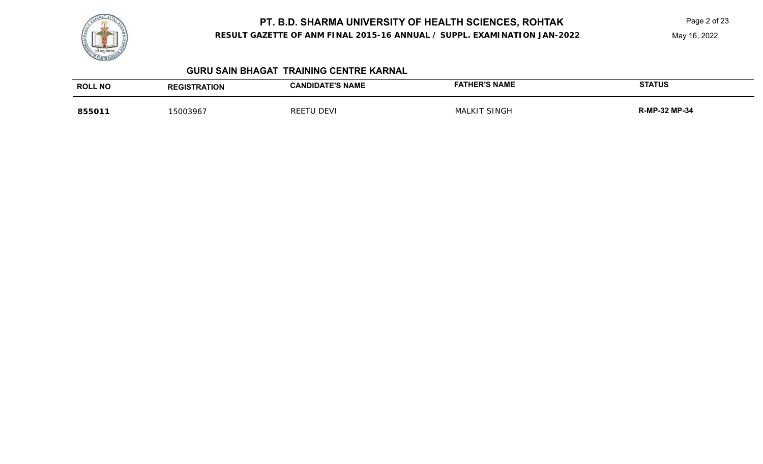

**RESULT GAZETTE OF ANM FINAL 2015-16 ANNUAL / SUPPL. EXAMINATION JAN-2022**

May 16, 2022

#### **GURU SAIN BHAGAT TRAINING CENTRE KARNAL**

| <b>ROLL NO</b> | <b><i>FRATION</i></b> | <b>CANDIDATE'S NAME</b> | <b>FATHER'S NAME</b> | <b>STATUS</b>        |
|----------------|-----------------------|-------------------------|----------------------|----------------------|
|                | <b>REGIS</b>          |                         |                      |                      |
| 85501          | 15003967              | RFF<br>)FVI             | SINGF<br>1Δ          | <b>R-MP-32 MP-34</b> |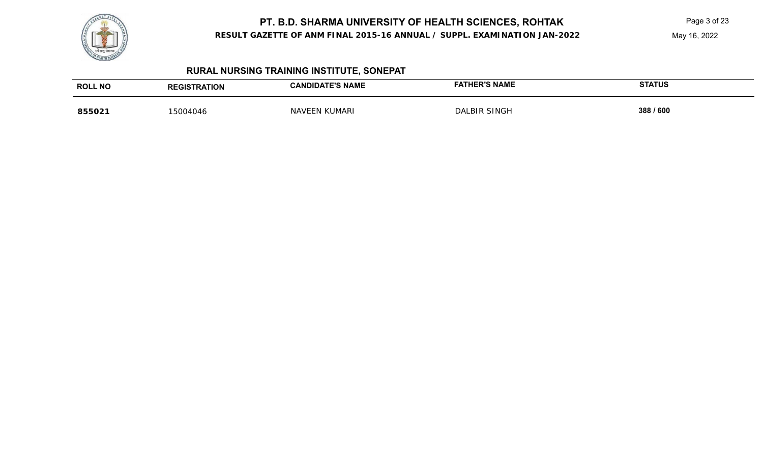

**RESULT GAZETTE OF ANM FINAL 2015-16 ANNUAL / SUPPL. EXAMINATION JAN-2022**

May 16, 2022

# **RURAL NURSING TRAINING INSTITUTE, SONEPAT**

| <b>ROLL NO</b> | <b><i>FRATION</i></b><br><b>REGIS</b> | <b>DATE'S NAME</b><br>$\overline{\phantom{a}}$<br>AULI | <b>HER'S NAME</b><br>≂АТ. | <b>STATUS</b> |
|----------------|---------------------------------------|--------------------------------------------------------|---------------------------|---------------|
| 85502          | 15004046                              | IMARI<br>IΔ                                            | I RIR SINGF<br>DAI        | 388 / 600     |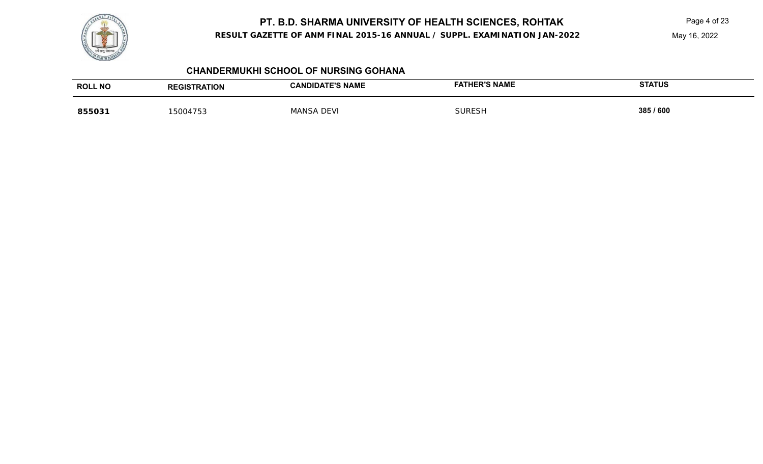

**RESULT GAZETTE OF ANM FINAL 2015-16 ANNUAL / SUPPL. EXAMINATION JAN-2022**

May 16, 2022

## **CHANDERMUKHI SCHOOL OF NURSING GOHANA**

| <b>ROLL NO</b> | <b>REGISTRATION</b> | <b>CANDIDATE'S NAME</b> | <b>HER'S NAME</b><br>FAT | <b>STATUS</b> |
|----------------|---------------------|-------------------------|--------------------------|---------------|
| 855031         | 5004753             | <b>DEVI</b><br>MANSA.   | <b>SURESH</b>            | 385 / 600     |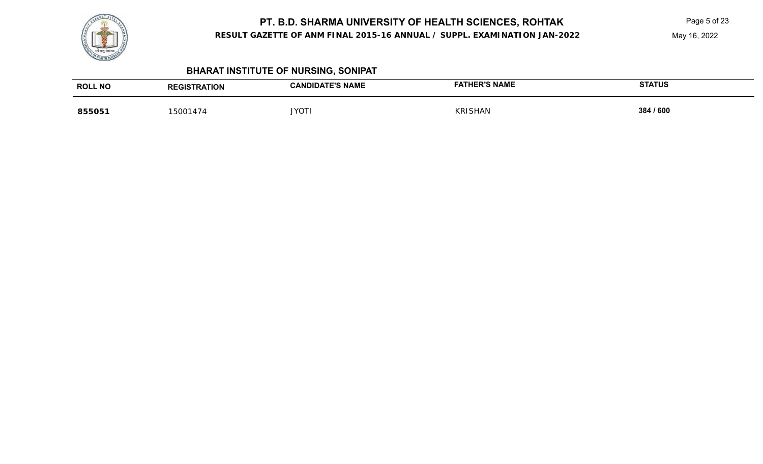

#### **RESULT GAZETTE OF ANM FINAL 2015-16 ANNUAL / SUPPL. EXAMINATION JAN-2022**

May 16, 2022

# **BHARAT INSTITUTE OF NURSING, SONIPAT**

| <b>ROLL NO</b> | <b>REGISTRATION</b> | <b>CANDIDATE'S NAME</b> | <b>FATHER'S NAME</b> | <b>STATUS</b> |
|----------------|---------------------|-------------------------|----------------------|---------------|
| 855051         | 5001474             | <b>JYOTI</b>            | <b>KRISHAN</b>       | 384 / 600     |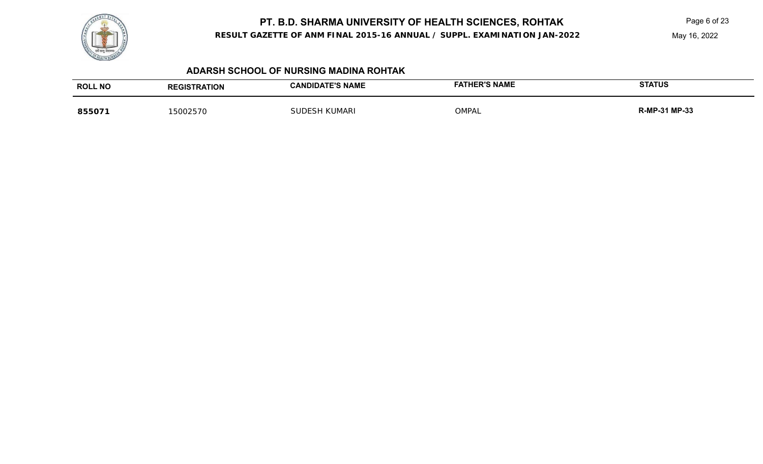

**RESULT GAZETTE OF ANM FINAL 2015-16 ANNUAL / SUPPL. EXAMINATION JAN-2022**

May 16, 2022

#### **ADARSH SCHOOL OF NURSING MADINA ROHTAK**

| <b>ROLL NO</b> | <b>REGISTRATION</b> | <b>CANDIDATE'S NAME</b> | <b>FATHER'S NAME</b> | <b>STATUS</b> |
|----------------|---------------------|-------------------------|----------------------|---------------|
| 855071         | 15002570            | I KUMARI<br>SUDESH      | OMPAL                | R-MP-31 MP-33 |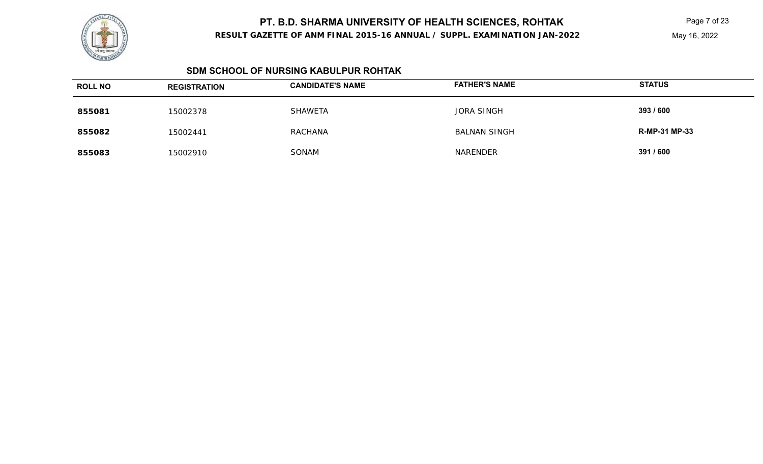

#### **RESULT GAZETTE OF ANM FINAL 2015-16 ANNUAL / SUPPL. EXAMINATION JAN-2022**

May 16, 2022

#### **SDM SCHOOL OF NURSING KABULPUR ROHTAK**

| <b>ROLL NO</b> | <b>REGISTRATION</b> | <b>CANDIDATE'S NAME</b> | <b>FATHER'S NAME</b> | <b>STATUS</b>        |
|----------------|---------------------|-------------------------|----------------------|----------------------|
| 855081         | 15002378            | <b>SHAWETA</b>          | <b>JORA SINGH</b>    | 393 / 600            |
| 855082         | 15002441            | <b>RACHANA</b>          | <b>BALNAN SINGH</b>  | <b>R-MP-31 MP-33</b> |
| 855083         | 15002910            | SONAM                   | NARENDER             | 391 / 600            |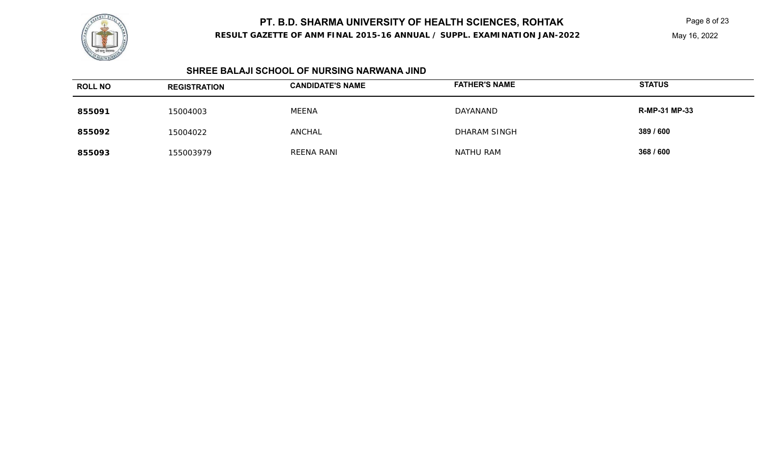

**RESULT GAZETTE OF ANM FINAL 2015-16 ANNUAL / SUPPL. EXAMINATION JAN-2022**

May 16, 2022

#### **SHREE BALAJI SCHOOL OF NURSING NARWANA JIND**

| <b>ROLL NO</b> | <b>REGISTRATION</b> | <b>CANDIDATE'S NAME</b> | <b>FATHER'S NAME</b> | <b>STATUS</b>        |
|----------------|---------------------|-------------------------|----------------------|----------------------|
| 855091         | 15004003            | <b>MEENA</b>            | DAYANAND             | <b>R-MP-31 MP-33</b> |
| 855092         | 15004022            | <b>ANCHAL</b>           | <b>DHARAM SINGH</b>  | 389 / 600            |
| 855093         | 155003979           | REENA RANI              | <b>NATHU RAM</b>     | 368 / 600            |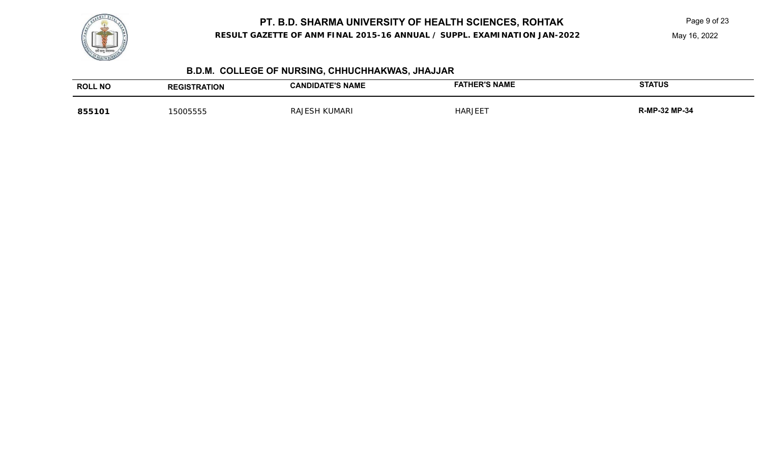

**RESULT GAZETTE OF ANM FINAL 2015-16 ANNUAL / SUPPL. EXAMINATION JAN-2022**

May 16, 2022

# **B.D.M. COLLEGE OF NURSING, CHHUCHHAKWAS, JHAJJAR**

| <b>ROLL NO</b> | <b><i>FRATION</i></b> | <b>E'S NAME</b><br><b>IDIDA</b><br>'ΔN | <b>ER'S NAME</b> | <b>STATUS</b>        |
|----------------|-----------------------|----------------------------------------|------------------|----------------------|
| 855101         | ᲐᲪᲮᲮᲮᲮ                | JMARI<br>RA.                           | HAR              | <b>MP-34</b><br>JZ M |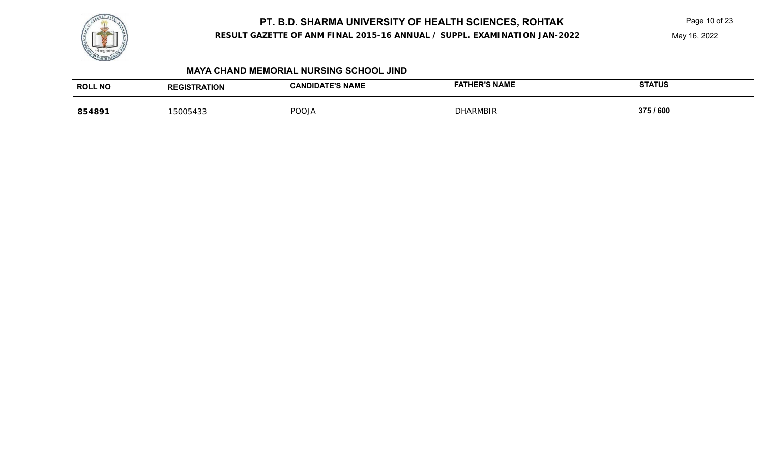

**RESULT GAZETTE OF ANM FINAL 2015-16 ANNUAL / SUPPL. EXAMINATION JAN-2022**

May 16, 2022

#### **MAYA CHAND MEMORIAL NURSING SCHOOL JIND**

| <b>ROLL NO</b> | <b><i>FRATION</i></b><br><b>REC</b> | CANDIDATE'S NAME | <b>HER'S NAME</b><br>FAT | <b>STATUS</b> |
|----------------|-------------------------------------|------------------|--------------------------|---------------|
| 854891         | 5005433                             | POOJA            | <b>CHARMBIR</b>          | 375 / 600     |
|                |                                     |                  |                          |               |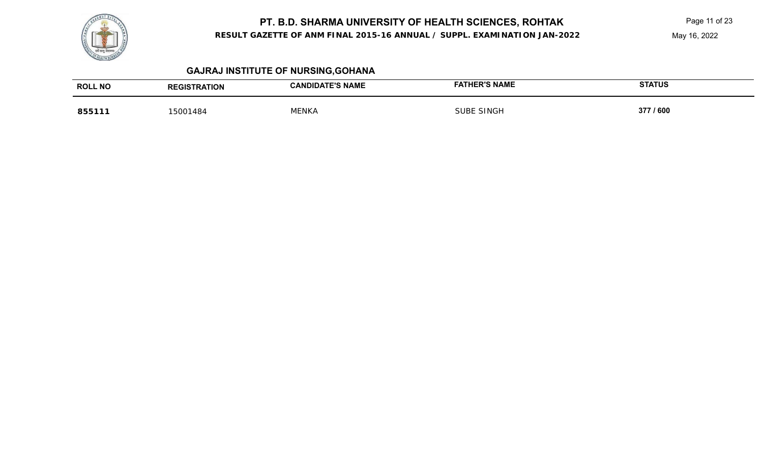

**RESULT GAZETTE OF ANM FINAL 2015-16 ANNUAL / SUPPL. EXAMINATION JAN-2022**

May 16, 2022

## **GAJRAJ INSTITUTE OF NURSING,GOHANA**

| <b>ROLL NO</b> | <b>RATION</b> | <b>CANDIDATE'S NAME</b> | <b>FATHER'S NAME</b> | <b>STATUS</b> |
|----------------|---------------|-------------------------|----------------------|---------------|
|                | .als          |                         |                      |               |
| 85511          | 15001484      | <b>MENKA</b>            | <b>SINGF</b>         | 377 / 600     |
|                |               |                         |                      |               |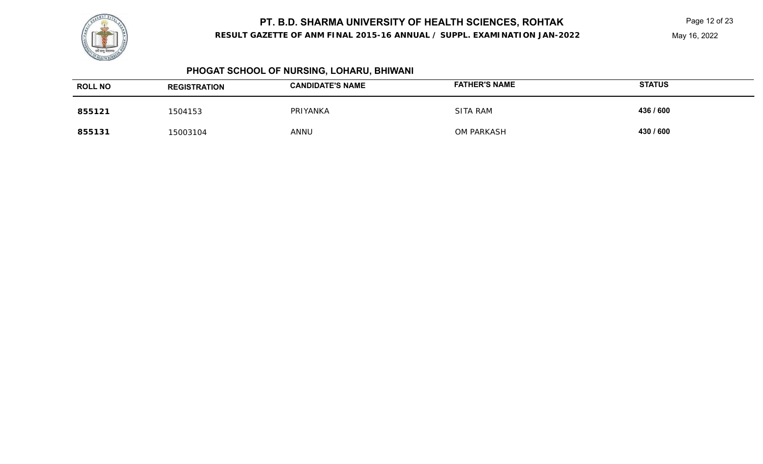

**RESULT GAZETTE OF ANM FINAL 2015-16 ANNUAL / SUPPL. EXAMINATION JAN-2022**

May 16, 2022

## **PHOGAT SCHOOL OF NURSING, LOHARU, BHIWANI**

| <b>ROLL NO</b> | <b>REGISTRATION</b> | <b>CANDIDATE'S NAME</b> | <b>FATHER'S NAME</b> | <b>STATUS</b> |
|----------------|---------------------|-------------------------|----------------------|---------------|
| 855121         | 1504153             | PRIYANKA                | <b>SITA RAM</b>      | 436 / 600     |
| 855131         | 15003104            | ANNU                    | OM PARKASH           | 430 / 600     |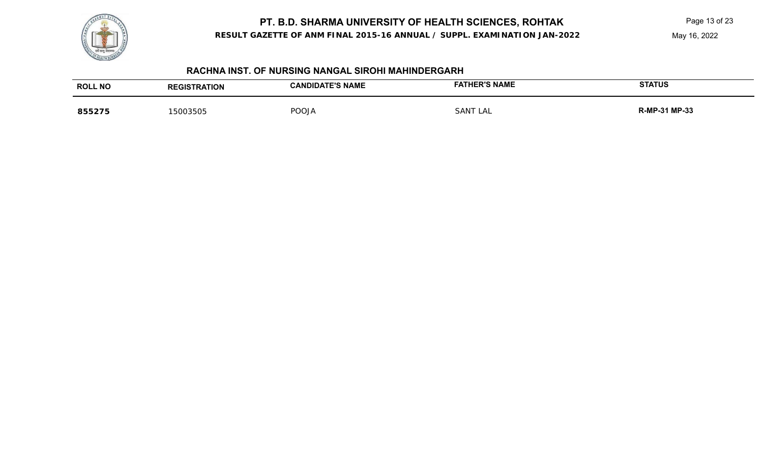

**RESULT GAZETTE OF ANM FINAL 2015-16 ANNUAL / SUPPL. EXAMINATION JAN-2022**

May 16, 2022

## **RACHNA INST. OF NURSING NANGAL SIROHI MAHINDERGARH**

| <b>ROLL NO</b> | <b>TRATION</b><br><b>REGIST</b> | CANDIDATE'S NAME<br>. | <b>ER'S NAME</b> | <b>STATUS</b>      |
|----------------|---------------------------------|-----------------------|------------------|--------------------|
| 855275         | 5003505                         | POOJA                 | SANT<br>∟AL      | $1 MP-33$<br>R-MP- |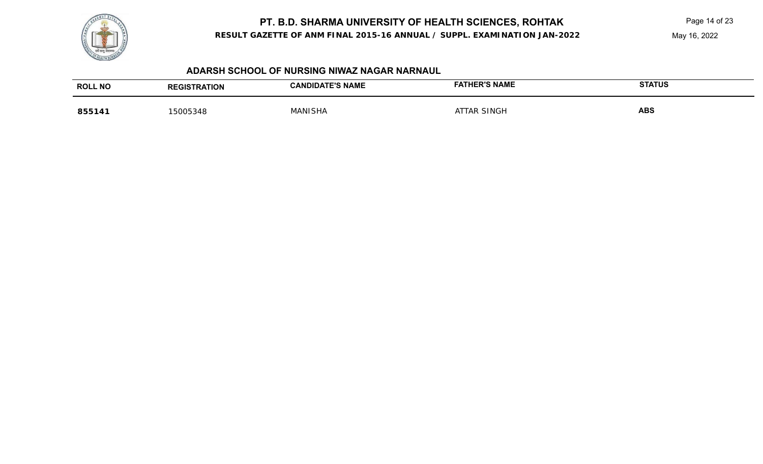

**RESULT GAZETTE OF ANM FINAL 2015-16 ANNUAL / SUPPL. EXAMINATION JAN-2022**

May 16, 2022

#### **ADARSH SCHOOL OF NURSING NIWAZ NAGAR NARNAUL**

| <b>ROLL NO</b> | <b>TION</b><br>GIS | <b>E'S NAME</b><br><b>CAND</b><br>IDА | <b>FATHER'S NAME</b> | <b>STATUS</b> |
|----------------|--------------------|---------------------------------------|----------------------|---------------|
| 85514          | <b>EOOE</b><br>348 | ∴ANI⊂'<br>HΔ                          | SINGF                | <b>ABS</b>    |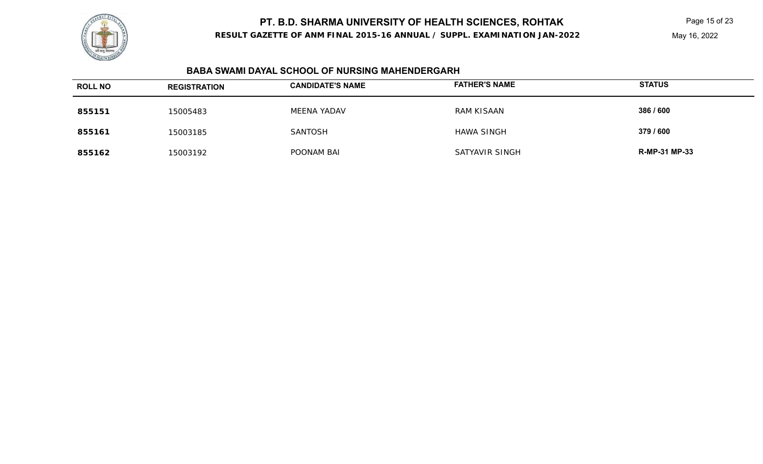

**RESULT GAZETTE OF ANM FINAL 2015-16 ANNUAL / SUPPL. EXAMINATION JAN-2022**

#### **BABA SWAMI DAYAL SCHOOL OF NURSING MAHENDERGARH**

| <b>ROLL NO</b> | <b>REGISTRATION</b> | <b>CANDIDATE'S NAME</b> | <b>FATHER'S NAME</b> | <b>STATUS</b>        |
|----------------|---------------------|-------------------------|----------------------|----------------------|
| 855151         | 15005483            | <b>MEENA YADAV</b>      | RAM KISAAN           | 386 / 600            |
| 855161         | 15003185            | <b>SANTOSH</b>          | <b>HAWA SINGH</b>    | 379 / 600            |
| 855162         | 15003192            | POONAM BAI              | SATYAVIR SINGH       | <b>R-MP-31 MP-33</b> |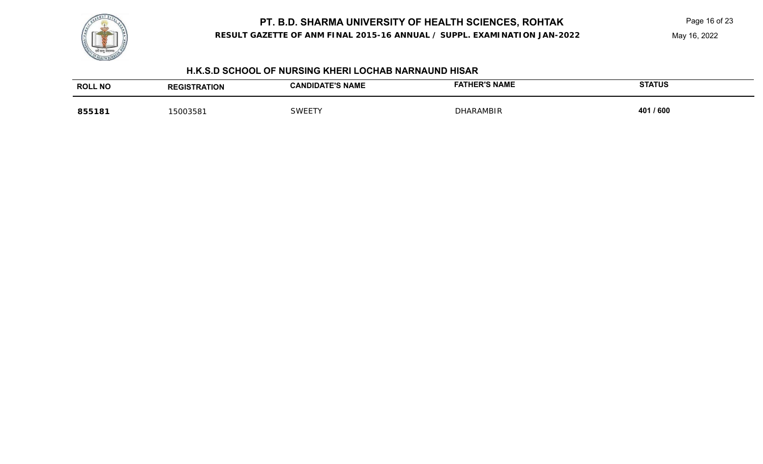

**RESULT GAZETTE OF ANM FINAL 2015-16 ANNUAL / SUPPL. EXAMINATION JAN-2022**

May 16, 2022

#### **H.K.S.D SCHOOL OF NURSING KHERI LOCHAB NARNAUND HISAR**

| <b>ROLL</b><br>. NO | <b>NOIT</b> | <b>E'S NAME</b><br><b>JANF</b><br>IJΑ | <b>FATHER'S NAME</b> | <b>STATUS</b> |
|---------------------|-------------|---------------------------------------|----------------------|---------------|
| 855181              | 500358      | SWFI                                  | <b>DHARAMBIR</b>     | 401 / 600     |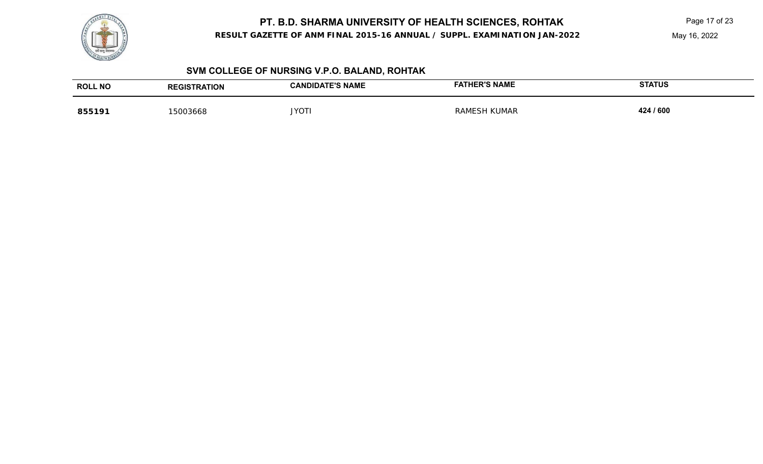

**RESULT GAZETTE OF ANM FINAL 2015-16 ANNUAL / SUPPL. EXAMINATION JAN-2022**

May 16, 2022

## **SVM COLLEGE OF NURSING V.P.O. BALAND, ROHTAK**

| <b>ROLL NO</b> | <b>REGISTRATION</b> | <b>CANDIDATE'S NAME</b> | <b>FATHER'S NAME</b>          | <b>STATUS</b> |
|----------------|---------------------|-------------------------|-------------------------------|---------------|
| 855191         | '5003668            | <b>JYOT</b>             | <b>KUMAR</b><br>RAM<br>/IF.5H | 424 / 600     |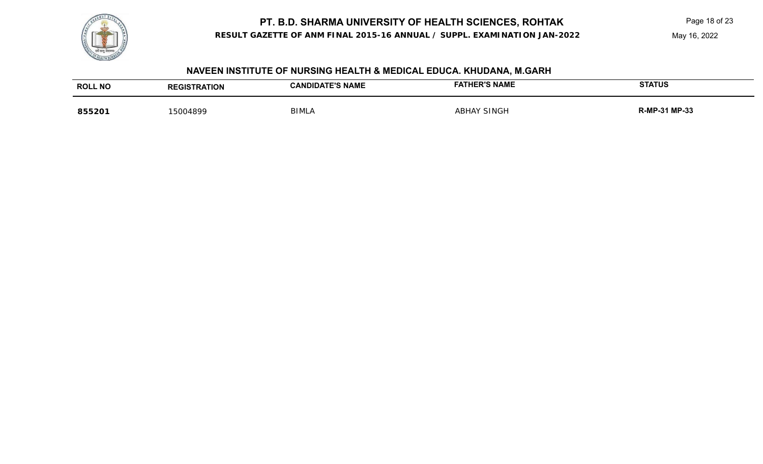

**RESULT GAZETTE OF ANM FINAL 2015-16 ANNUAL / SUPPL. EXAMINATION JAN-2022**

May 16, 2022

## **NAVEEN INSTITUTE OF NURSING HEALTH & MEDICAL EDUCA. KHUDANA, M.GARH**

| <b>ROLL NO</b> | <b>REGISTRATION</b> | <b>TE'S NAME</b><br>CAND<br>IDА | <b>FATHER'S NAME</b> | <b>STATUS</b>        |
|----------------|---------------------|---------------------------------|----------------------|----------------------|
| 855201         | 5004899             | <b>BIMLA</b>                    | ' SINGI<br>ABHAY     | P-31 MP-33<br>K-MP ה |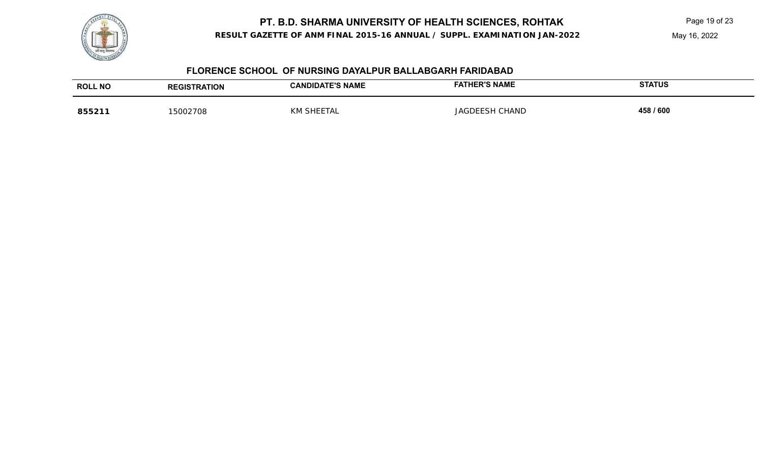

**RESULT GAZETTE OF ANM FINAL 2015-16 ANNUAL / SUPPL. EXAMINATION JAN-2022**

May 16, 2022

### **FLORENCE SCHOOL OF NURSING DAYALPUR BALLABGARH FARIDABAD**

| <b>ROLL NO</b> | <b>EGISTRATION</b> | <b>E'S NAME</b><br>IJА | <b>FATHER'S NAME</b> | <b>STATUS</b> |
|----------------|--------------------|------------------------|----------------------|---------------|
| 8552           | 5002708            | <b>KNV</b>             | `HANL<br>IAC         | 458 / 600     |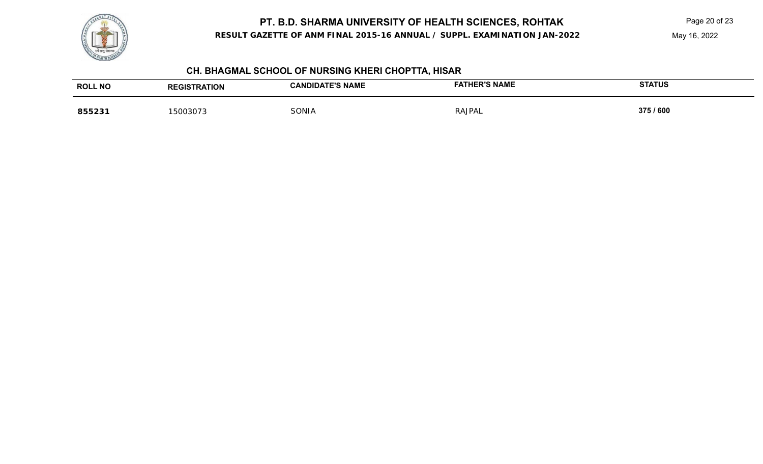

**RESULT GAZETTE OF ANM FINAL 2015-16 ANNUAL / SUPPL. EXAMINATION JAN-2022**

May 16, 2022

## **CH. BHAGMAL SCHOOL OF NURSING KHERI CHOPTTA, HISAR**

| <b>ROLL NO</b> | <b>TRATION</b><br><b>REGIS</b> | <b>E'S NAME</b><br>`ANDIDA. | <b>ER'S NAME</b> | <b>STATUS</b> |
|----------------|--------------------------------|-----------------------------|------------------|---------------|
| 855231         | 5003073<br>ຸມ<br>,,,,          | SONIA                       | RAJPAL           | 375 / 600     |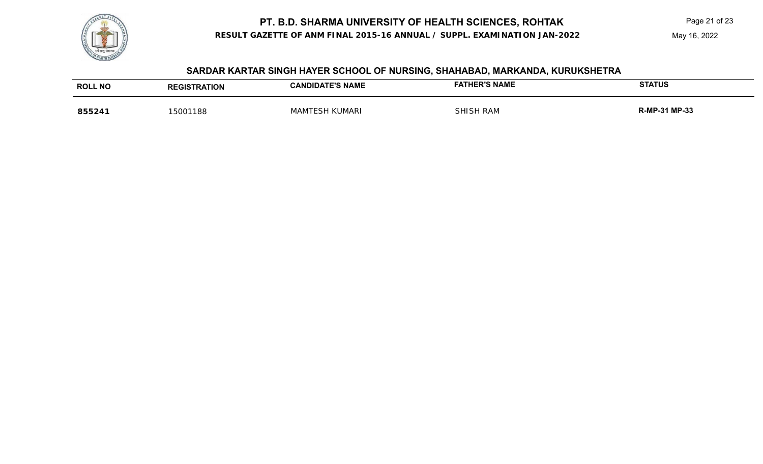**RESULT GAZETTE OF ANM FINAL 2015-16 ANNUAL / SUPPL. EXAMINATION JAN-2022**

### **SARDAR KARTAR SINGH HAYER SCHOOL OF NURSING, SHAHABAD, MARKANDA, KURUKSHETRA**

| <b>ROLL NO</b> | <b>REGISTRATION</b> | <b>CANDIDATE'S NAME</b> | <b>FATHER'S NAME</b> | <b>STATUS</b> |
|----------------|---------------------|-------------------------|----------------------|---------------|
| 855241         | 15001188            | <b>MAMTESH KUMARI</b>   | SHISH RAM            | R-MP-31 MP-33 |

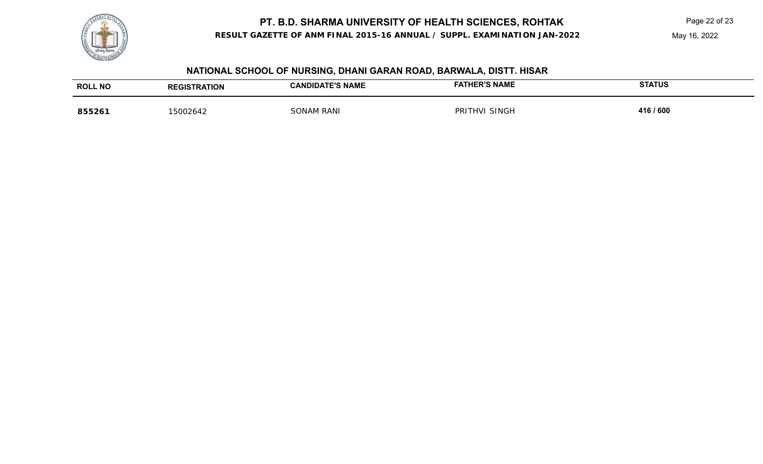

**RESULT GAZETTE OF ANM FINAL 2015-16 ANNUAL / SUPPL. EXAMINATION JAN-2022**

May 16, 2022

## **NATIONAL SCHOOL OF NURSING, DHANI GARAN ROAD, BARWALA, DISTT. HISAR**

| <b>ROLL NO</b> | <b>RATION</b> | <b>TE'S NAME</b> | <b>FATHER'S NAME</b> | <b>STATUS</b> |
|----------------|---------------|------------------|----------------------|---------------|
|                | GIS           |                  |                      |               |
| 85526          | 15002642      | I RANI           | 3INGF<br>PR          | 416 / 600     |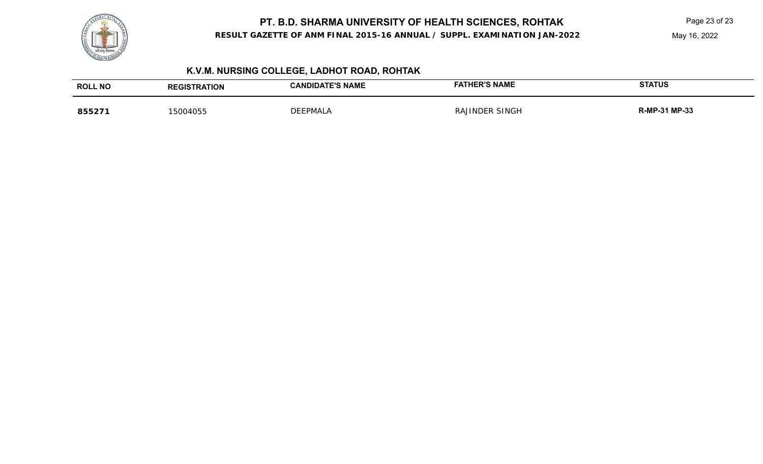

# **PT. B.D. SHARMA UNIVERSITY OF HEALTH SCIENCES, ROHTAK** Page 23 of 23 of 23

**RESULT GAZETTE OF ANM FINAL 2015-16 ANNUAL / SUPPL. EXAMINATION JAN-2022**

May 16, 2022

## **K.V.M. NURSING COLLEGE, LADHOT ROAD, ROHTAK**

| <b>ROLL NO</b> | <b>REGISTRATION</b> | <b>CANDIDATE'S NAME</b> | <b>FATHER'S NAME</b> | <b>STATUS</b> |
|----------------|---------------------|-------------------------|----------------------|---------------|
| 855271         | 5004055             | EPMALA<br>ז בר          | RAJINDER SINGH       | R-MP-31 MP-33 |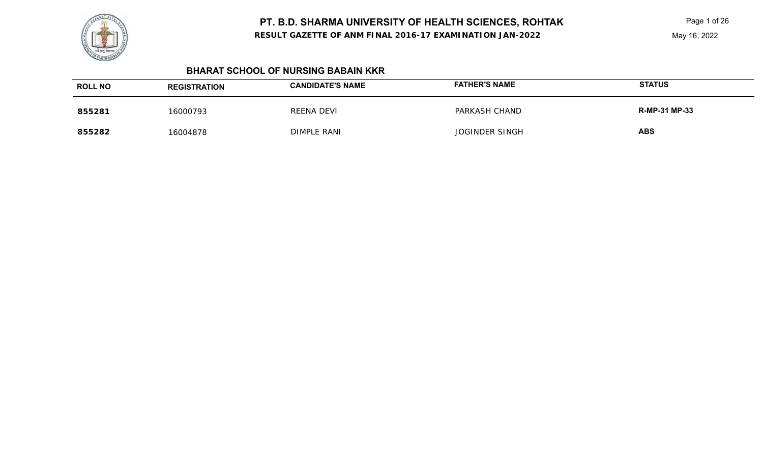**RESULT GAZETTE OF ANM FINAL 2016-17 EXAMINATION JAN-2022**

Page 1 of 26 May 16, 2022

## **BHARAT SCHOOL OF NURSING BABAIN KKR**

| <b>ROLL NO</b> | <b>REGISTRATION</b> | <b>CANDIDATE'S NAME</b> | <b>FATHER'S NAME</b>  | <b>STATUS</b>        |
|----------------|---------------------|-------------------------|-----------------------|----------------------|
| 855281         | 16000793            | REENA DEVI              | PARKASH CHAND         | <b>R-MP-31 MP-33</b> |
| 855282         | 16004878            | DIMPLE RANI             | <b>JOGINDER SINGH</b> | <b>ABS</b>           |

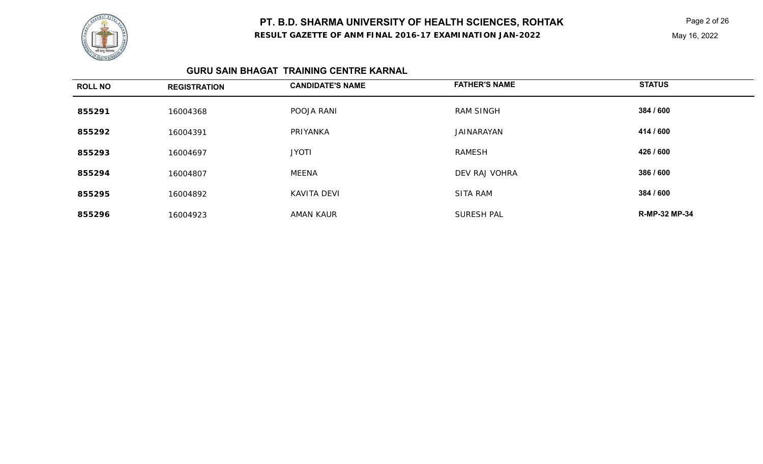

**RESULT GAZETTE OF ANM FINAL 2016-17 EXAMINATION JAN-2022**

Page 2 of 26 May 16, 2022

### **GURU SAIN BHAGAT TRAINING CENTRE KARNAL**

| <b>ROLL NO</b> | <b>REGISTRATION</b> | <b>CANDIDATE'S NAME</b> | <b>FATHER'S NAME</b> | <b>STATUS</b>        |
|----------------|---------------------|-------------------------|----------------------|----------------------|
| 855291         | 16004368            | POOJA RANI              | <b>RAM SINGH</b>     | 384 / 600            |
| 855292         | 16004391            | PRIYANKA                | JAINARAYAN           | 414 / 600            |
| 855293         | 16004697            | <b>JYOTI</b>            | <b>RAMESH</b>        | 426 / 600            |
| 855294         | 16004807            | MEENA                   | DEV RAJ VOHRA        | 386 / 600            |
| 855295         | 16004892            | <b>KAVITA DEVI</b>      | <b>SITA RAM</b>      | 384 / 600            |
| 855296         | 16004923            | AMAN KAUR               | <b>SURESH PAL</b>    | <b>R-MP-32 MP-34</b> |

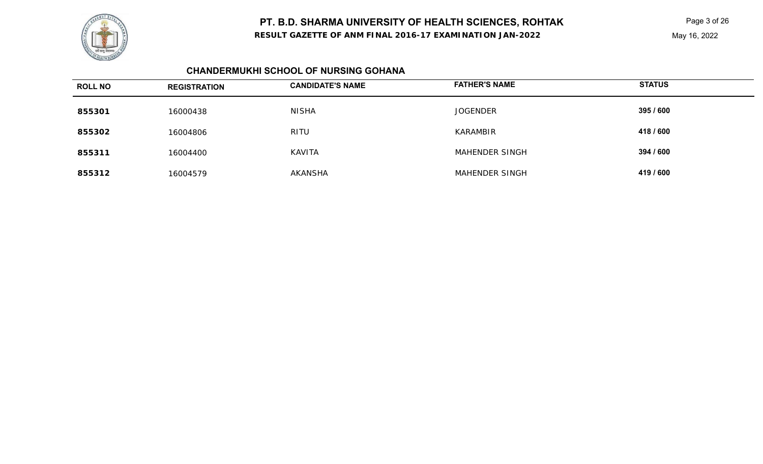

**RESULT GAZETTE OF ANM FINAL 2016-17 EXAMINATION JAN-2022**

Page 3 of 26 May 16, 2022

## **CHANDERMUKHI SCHOOL OF NURSING GOHANA**

| <b>ROLL NO</b> | <b>REGISTRATION</b> | <b>CANDIDATE'S NAME</b> | <b>FATHER'S NAME</b> | <b>STATUS</b> |
|----------------|---------------------|-------------------------|----------------------|---------------|
| 855301         | 16000438            | NISHA                   | <b>JOGENDER</b>      | 395 / 600     |
| 855302         | 16004806            | RITU                    | KARAMBIR             | 418 / 600     |
| 855311         | 16004400            | <b>KAVITA</b>           | MAHENDER SINGH       | 394 / 600     |
| 855312         | 16004579            | AKANSHA                 | MAHENDER SINGH       | 419 / 600     |

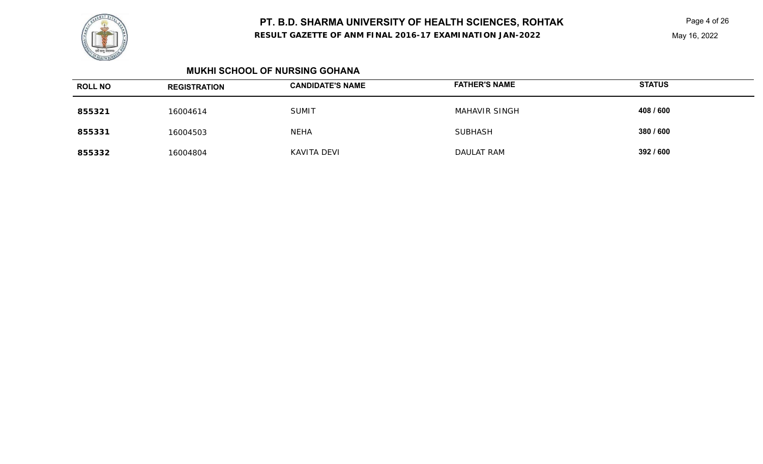**RESULT GAZETTE OF ANM FINAL 2016-17 EXAMINATION JAN-2022**

Page 4 of 26 May 16, 2022

#### **MUKHI SCHOOL OF NURSING GOHANA**

| <b>ROLL NO</b> | <b>REGISTRATION</b> | <b>CANDIDATE'S NAME</b> | <b>FATHER'S NAME</b> | <b>STATUS</b> |
|----------------|---------------------|-------------------------|----------------------|---------------|
| 855321         | 16004614            | <b>SUMIT</b>            | MAHAVIR SINGH        | 408 / 600     |
| 855331         | 16004503            | <b>NEHA</b>             | <b>SUBHASH</b>       | 380 / 600     |
| 855332         | 16004804            | KAVITA DEVI             | DAULAT RAM           | 392 / 600     |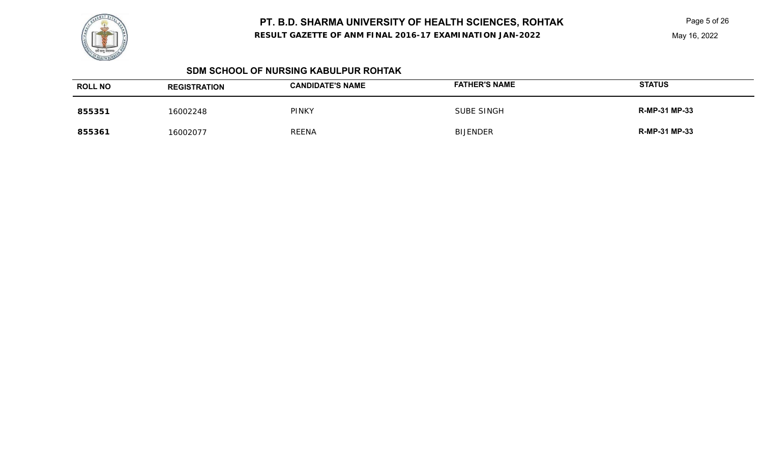**RESULT GAZETTE OF ANM FINAL 2016-17 EXAMINATION JAN-2022**

Page 5 of 26

## **SDM SCHOOL OF NURSING KABULPUR ROHTAK**

| <b>ROLL NO</b> | <b>REGISTRATION</b> | <b>CANDIDATE'S NAME</b> | <b>FATHER'S NAME</b> | <b>STATUS</b>        |
|----------------|---------------------|-------------------------|----------------------|----------------------|
| 855351         | 16002248            | <b>PINKY</b>            | SUBE SINGH           | <b>R-MP-31 MP-33</b> |
| 855361         | 16002077            | <b>REENA</b>            | <b>BIJENDER</b>      | <b>R-MP-31 MP-33</b> |

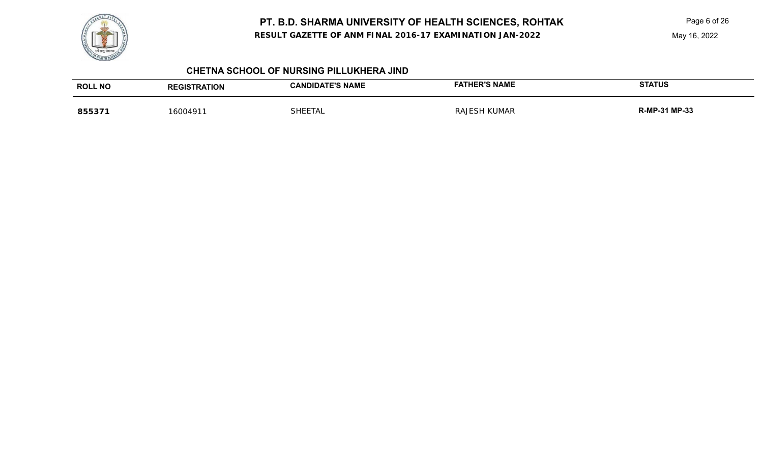

**RESULT GAZETTE OF ANM FINAL 2016-17 EXAMINATION JAN-2022**

Page 6 of 26

#### **CHETNA SCHOOL OF NURSING PILLUKHERA JIND**

| <b>ROLL NO</b> | <b>REGISTRATION</b> | <b>CANDIDATE'S NAME</b> | <b>ER'S NAME</b>    | <b>STATUS</b>     |
|----------------|---------------------|-------------------------|---------------------|-------------------|
| 8553           | 600491              | SHFF.<br>5 IA.          | KUMAR<br>RA'<br>⊏SF | 31 MP-33<br>R-MP- |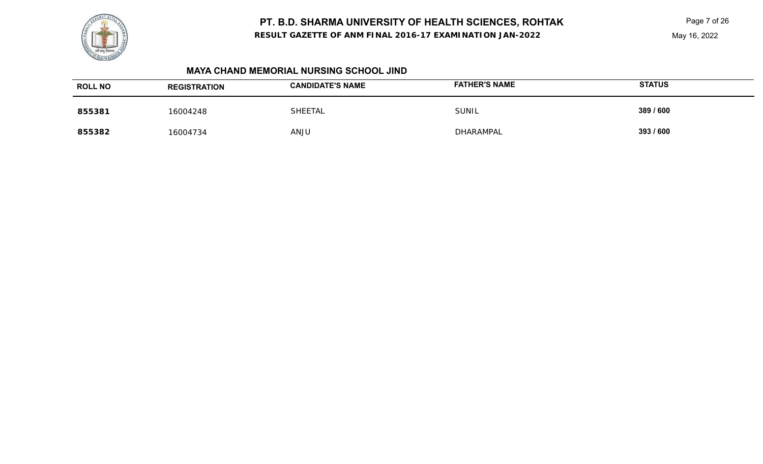**RESULT GAZETTE OF ANM FINAL 2016-17 EXAMINATION JAN-2022**

Page 7 of 26 May 16, 2022

#### **MAYA CHAND MEMORIAL NURSING SCHOOL JIND**

| <b>ROLL NO</b> | <b>REGISTRATION</b> | <b>CANDIDATE'S NAME</b> | <b>FATHER'S NAME</b> | <b>STATUS</b> |
|----------------|---------------------|-------------------------|----------------------|---------------|
| 855381         | 16004248            | <b>SHEETAL</b>          | <b>SUNIL</b>         | 389 / 600     |
| 855382         | 16004734            | <b>ANJU</b>             | DHARAMPAL            | 393 / 600     |

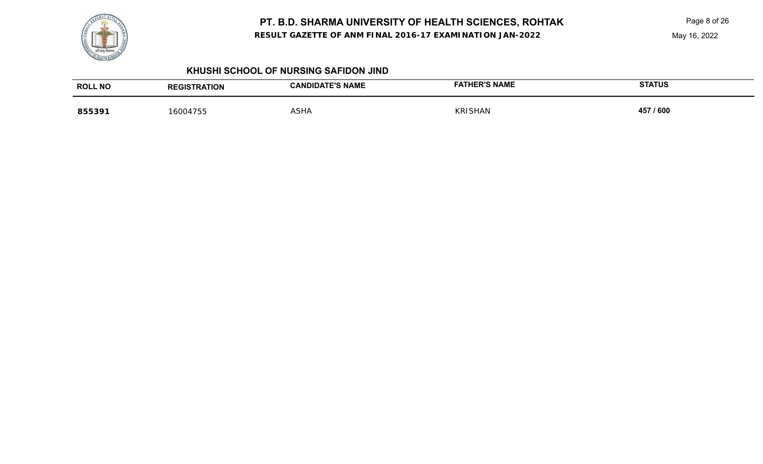

**RESULT GAZETTE OF ANM FINAL 2016-17 EXAMINATION JAN-2022**

Page 8 of 26

May 16, 2022

#### **KHUSHI SCHOOL OF NURSING SAFIDON JIND**

| <b>ROLL NO</b> | <b>RATION</b> | <b>ATE'S NAME</b><br>JIDA | <b>HER'S NAME</b><br><b>FAT</b> | <b>STATUS</b> |
|----------------|---------------|---------------------------|---------------------------------|---------------|
| 855391         | 16004755      | <b>ASHA</b>               | <b>KRISHAN</b>                  | 457 / 600     |
|                |               |                           |                                 |               |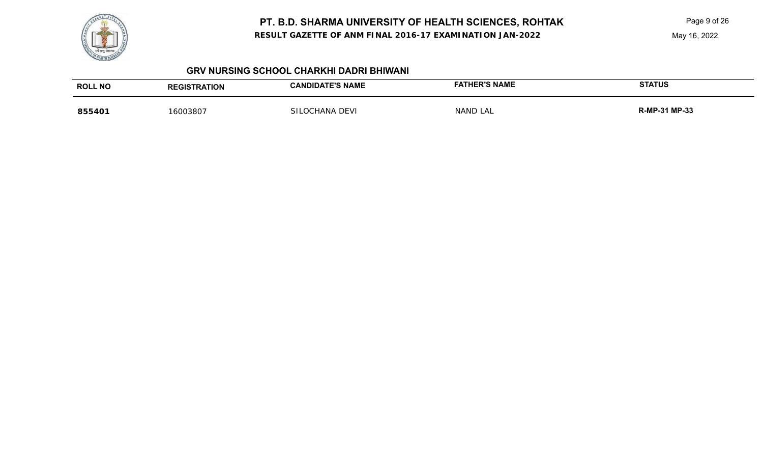

**RESULT GAZETTE OF ANM FINAL 2016-17 EXAMINATION JAN-2022**

Page 9 of 26

May 16, 2022

#### **GRV NURSING SCHOOL CHARKHI DADRI BHIWANI**

| <b>ROLL NO</b> | <b>REGISTRATION</b> | <b>CANDIDATE'S NAME</b> | <b>FATHER'S NAME</b> | <b>STATUS</b> |
|----------------|---------------------|-------------------------|----------------------|---------------|
| 855401         | 16003807            | SII<br>`OCHANA DEVI     | NAND LAL             | R-MP-31 MP-33 |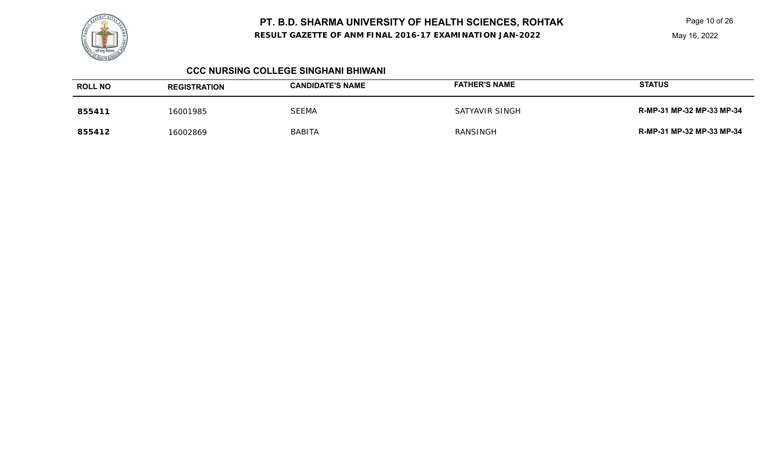**RESULT GAZETTE OF ANM FINAL 2016-17 EXAMINATION JAN-2022**

Page 10 of 26

#### **CCC NURSING COLLEGE SINGHANI BHIWANI**

| <b>ROLL NO</b> | <b>REGISTRATION</b> | <b>CANDIDATE'S NAME</b> | <b>FATHER'S NAME</b> | <b>STATUS</b>             |
|----------------|---------------------|-------------------------|----------------------|---------------------------|
| 855411         | 16001985            | <b>SEEMA</b>            | SATYAVIR SINGH       | R-MP-31 MP-32 MP-33 MP-34 |
| 855412         | 16002869            | <b>BABITA</b>           | RANSINGH             | R-MP-31 MP-32 MP-33 MP-34 |

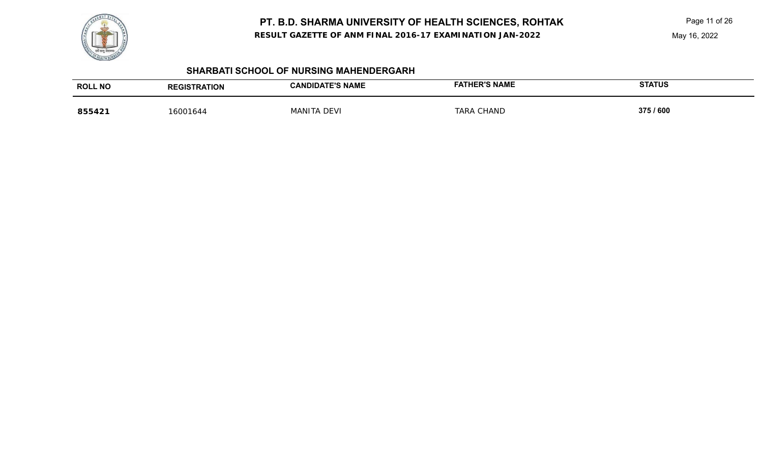

**RESULT GAZETTE OF ANM FINAL 2016-17 EXAMINATION JAN-2022**

Page 11 of 26

May 16, 2022

## **SHARBATI SCHOOL OF NURSING MAHENDERGARH**

| <b>ROLL NO</b> | <b>REGISTRATION</b> | <b>CANDIDATE'S NAME</b> | <b>FATHER'S NAME</b> | <b>STATUS</b> |
|----------------|---------------------|-------------------------|----------------------|---------------|
| 855421         | 16001644            | MANITA DEVI             | <b>TARA CHAND</b>    | 375 / 600     |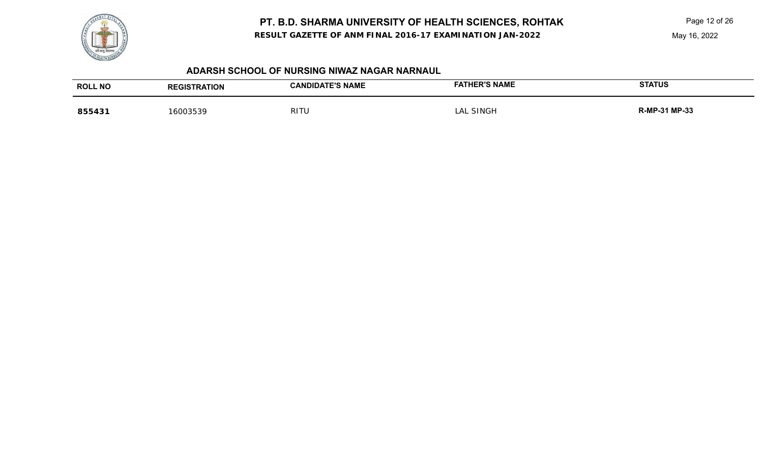

**RESULT GAZETTE OF ANM FINAL 2016-17 EXAMINATION JAN-2022**

Page 12 of 26

#### **ADARSH SCHOOL OF NURSING NIWAZ NAGAR NARNAUL**

| <b>ROLL NO</b> | <b>TRATION</b> | <b>CANDIDATE'S NAME:</b> | <b>ER'S NAME</b> | <b>STATUS</b> |
|----------------|----------------|--------------------------|------------------|---------------|
|                | <b>REGIST</b>  |                          |                  |               |
| 855431         | . ა003539      | RITU                     | SINGH<br>_AI     | R-MP-31 MP-33 |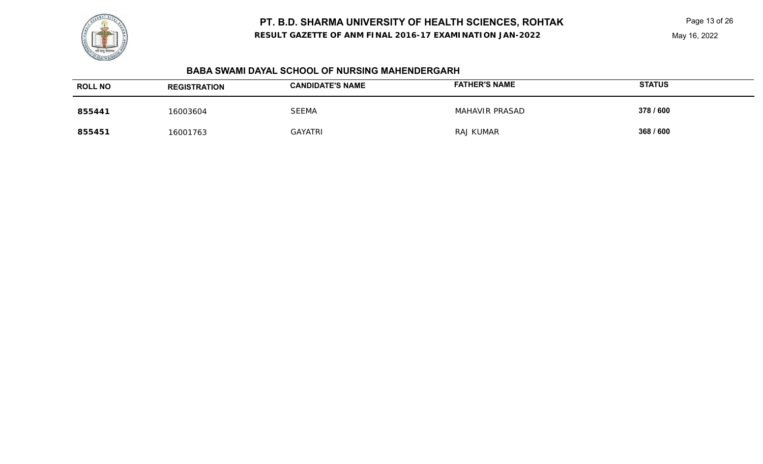**RESULT GAZETTE OF ANM FINAL 2016-17 EXAMINATION JAN-2022**

#### May 16, 2022

| <b>BABA SWAMI DAYAL SCHOOL OF NURSING MAHENDERGARH</b> |  |
|--------------------------------------------------------|--|
|--------------------------------------------------------|--|

| <b>ROLL NO</b> | <b>REGISTRATION</b> | <b>CANDIDATE'S NAME</b> | <b>FATHER'S NAME</b>  | <b>STATUS</b> |
|----------------|---------------------|-------------------------|-----------------------|---------------|
| 855441         | 16003604            | <b>SEEMA</b>            | <b>MAHAVIR PRASAD</b> | 378 / 600     |
| 855451         | 16001763            | GAYATRI                 | <b>RAJ KUMAR</b>      | 368 / 600     |

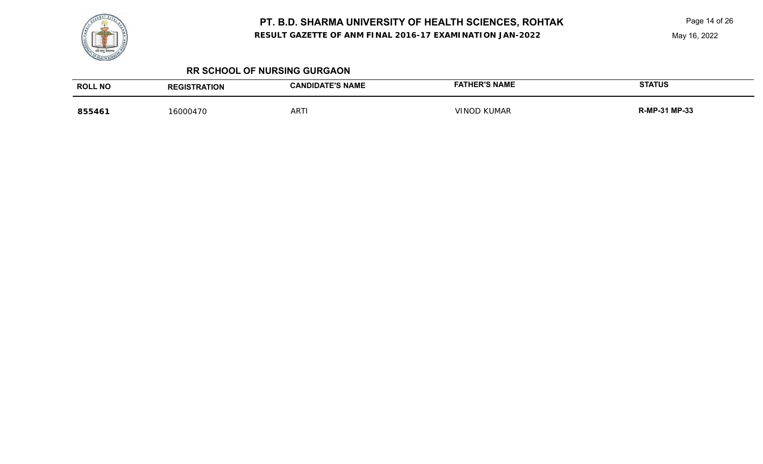**RESULT GAZETTE OF ANM FINAL 2016-17 EXAMINATION JAN-2022**

Page 14 of 26

May 16, 2022

#### **RR SCHOOL OF NURSING GURGAON**

| <b>ROLL NO</b> | <b>REGISTRATION</b> | <b>CANDIDATE'S NAME</b> | <b>FATHER'S NAME</b> | <b>STATUS</b> |
|----------------|---------------------|-------------------------|----------------------|---------------|
| 855461         | 16000470            | <b>ARTI</b>             | <b>VINOD KUMAR</b>   | R-MP-31 MP-33 |

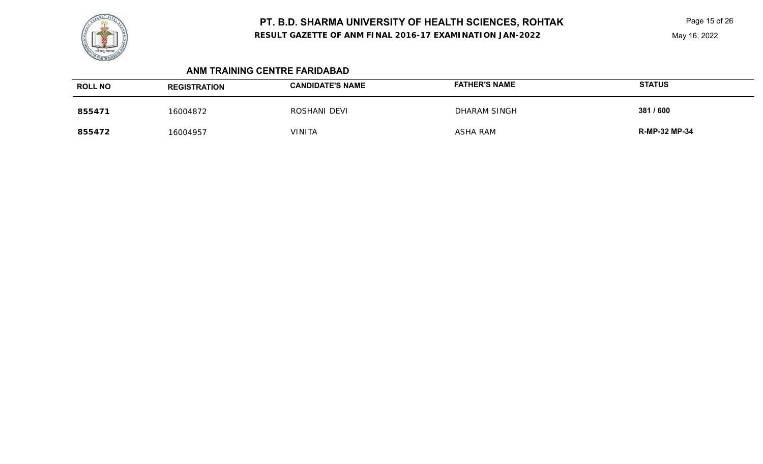**RESULT GAZETTE OF ANM FINAL 2016-17 EXAMINATION JAN-2022**

Page 15 of 26

## **ANM TRAINING CENTRE FARIDABAD**

| <b>ROLL NO</b> | <b>REGISTRATION</b> | <b>CANDIDATE'S NAME</b> | <b>FATHER'S NAME</b> | <b>STATUS</b>        |
|----------------|---------------------|-------------------------|----------------------|----------------------|
| 855471         | 16004872            | ROSHANI DEVI            | DHARAM SINGH         | 381/600              |
| 855472         | 16004957            | <b>VINITA</b>           | ASHA RAM             | <b>R-MP-32 MP-34</b> |

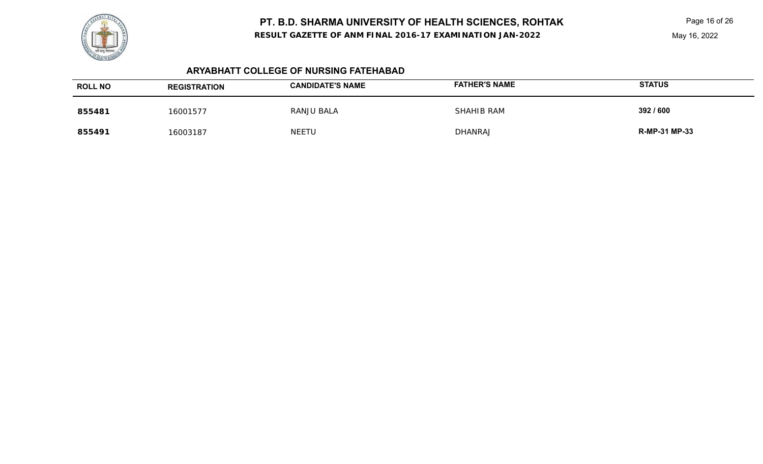**RESULT GAZETTE OF ANM FINAL 2016-17 EXAMINATION JAN-2022**

Page 16 of 26

## **ARYABHATT COLLEGE OF NURSING FATEHABAD**

| <b>ROLL NO</b> | <b>REGISTRATION</b> | <b>CANDIDATE'S NAME</b> | <b>FATHER'S NAME</b> | <b>STATUS</b>        |
|----------------|---------------------|-------------------------|----------------------|----------------------|
| 855481         | 16001577            | RANJU BALA              | SHAHIB RAM           | 392 / 600            |
| 855491         | 16003187            | <b>NEETU</b>            | <b>DHANRAJ</b>       | <b>R-MP-31 MP-33</b> |

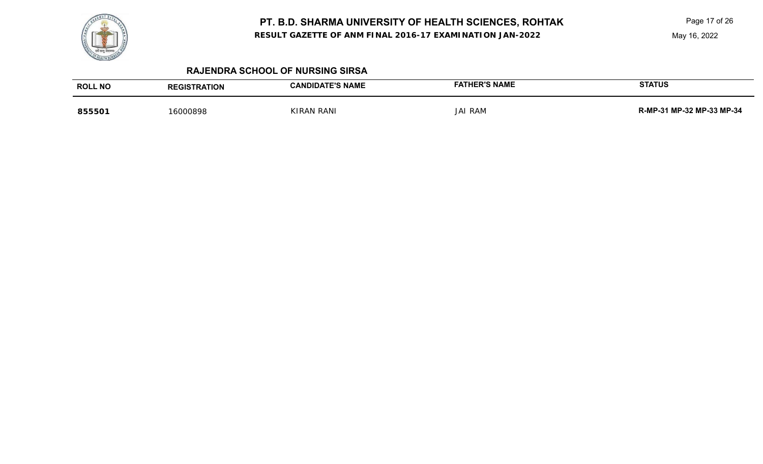**RESULT GAZETTE OF ANM FINAL 2016-17 EXAMINATION JAN-2022**

Page 17 of 26

May 16, 2022

| <b>ROLL NO</b> | <b>REGISTRATION</b> | <b>CANDIDATE'S NAME</b> | <b>FATHER'S NAME</b> | <b>STATUS</b>             |
|----------------|---------------------|-------------------------|----------------------|---------------------------|
| 855501         | 16000898            | <b>KIRAN RANI</b>       | <b>JAI RAM</b>       | R-MP-31 MP-32 MP-33 MP-34 |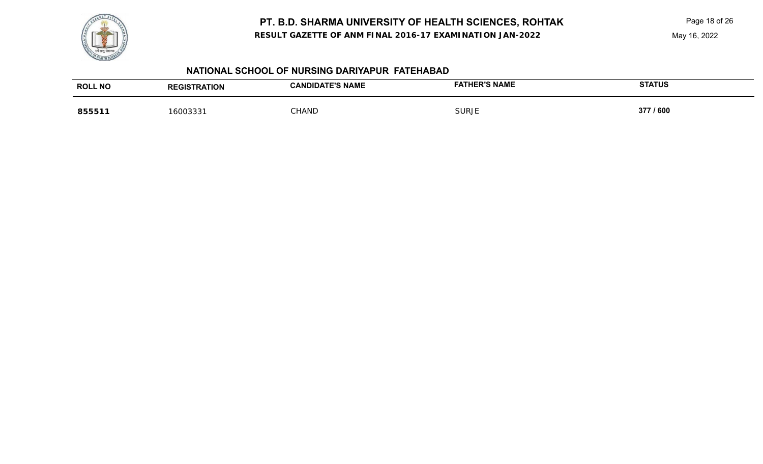**RESULT GAZETTE OF ANM FINAL 2016-17 EXAMINATION JAN-2022**



## **NATIONAL SCHOOL OF NURSING DARIYAPUR FATEHABAD**

| <b>ROLL NO</b>      | <b>RATION</b> | <b>DATE'S NAME</b><br><b>DIDA</b><br>AN | <b>ED'S NAME</b><br><b>NAME</b> | <b>STATUS</b> |
|---------------------|---------------|-----------------------------------------|---------------------------------|---------------|
| <b>QEEF</b><br>ບບບເ | .600333       | CHAND                                   | Surje                           | 377 / 600     |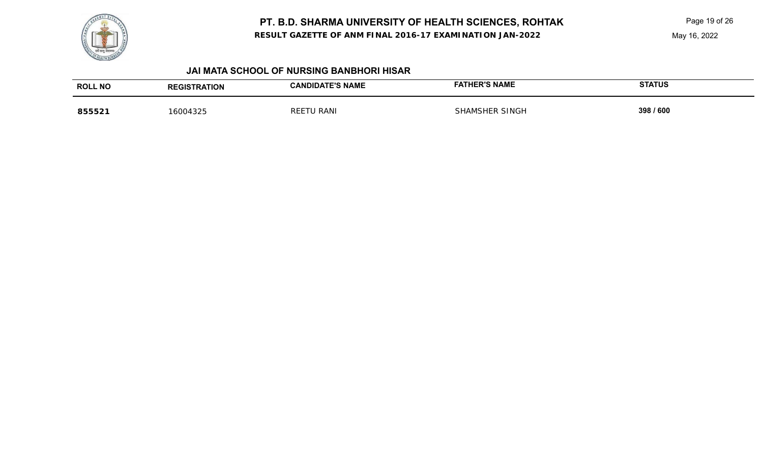

**RESULT GAZETTE OF ANM FINAL 2016-17 EXAMINATION JAN-2022**

Page 19 of 26

| <b>ROLL NO</b> | <b>REGISTRATION</b> | <b>CANDIDATE'S NAME</b> | <b>FATHER'S NAME</b>  | <b>STATUS</b> |
|----------------|---------------------|-------------------------|-----------------------|---------------|
| 855521         | 16004325            | RANI<br><b>REE</b>      | <b>SHAMSHER SINGH</b> | 398 / 600     |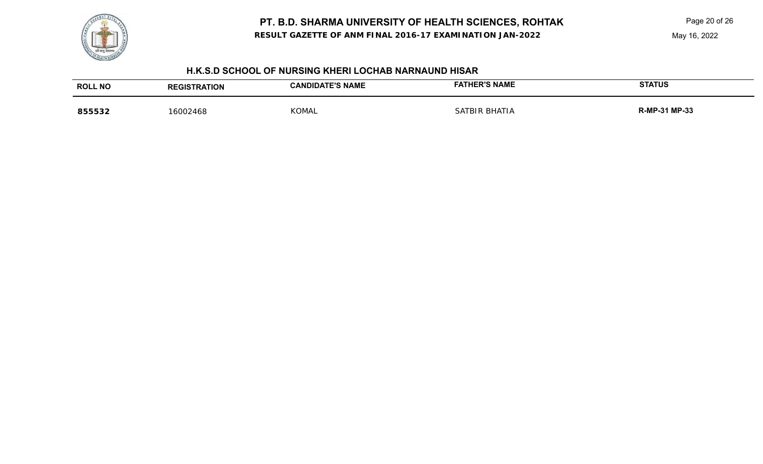**RESULT GAZETTE OF ANM FINAL 2016-17 EXAMINATION JAN-2022**

Page 20 of 26

### **H.K.S.D SCHOOL OF NURSING KHERI LOCHAB NARNAUND HISAR**

| <b>ROLL NO</b> | <b>REGISTRATION</b> | <b>CANDIDATE'S NAME</b> | <b>FATHER'S NAME</b> | <b>STATUS</b> |
|----------------|---------------------|-------------------------|----------------------|---------------|
| 855532         | 16002468            | KOMAL                   | SATBIR BHATIA        | R-MP-31 MP-33 |

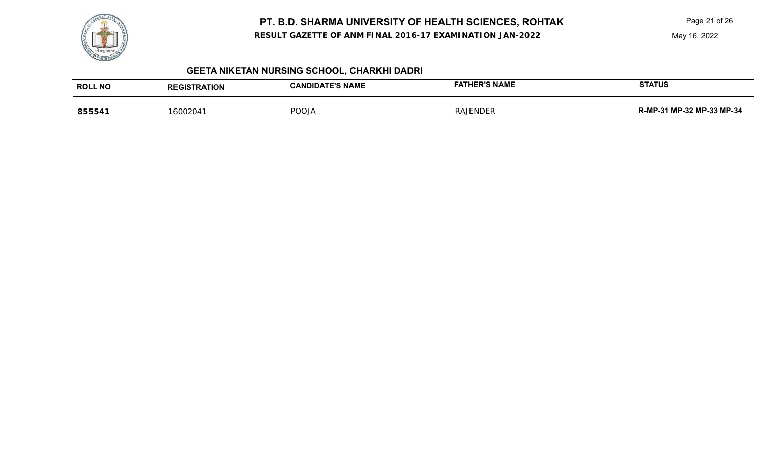

**RESULT GAZETTE OF ANM FINAL 2016-17 EXAMINATION JAN-2022**

Page 21 of 26

May 16, 2022

# **GEETA NIKETAN NURSING SCHOOL, CHARKHI DADRI**

| <b>ROLL NO</b> | <b>REGISTRATION</b> | <b>CANDIDATE'S NAME</b> | <b>HER'S NAME</b><br>FAT | <b>STATUS</b>             |
|----------------|---------------------|-------------------------|--------------------------|---------------------------|
| 855541         | 16002041            | <b>POOJA</b>            | <b>RAJENDER</b>          | R-MP-31 MP-32 MP-33 MP-34 |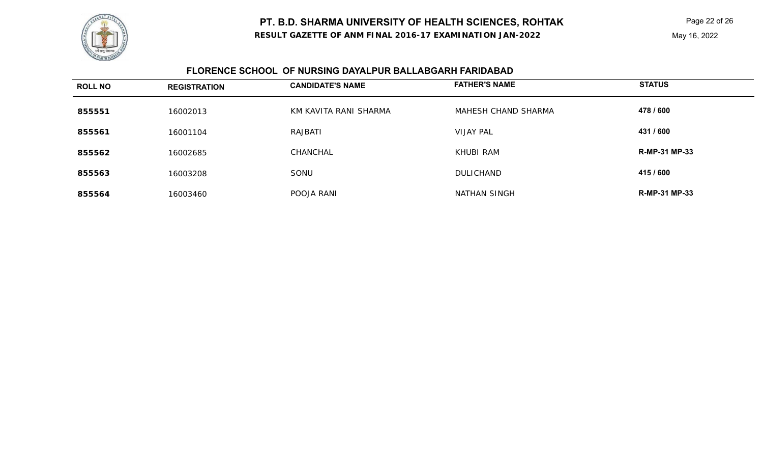**RESULT GAZETTE OF ANM FINAL 2016-17 EXAMINATION JAN-2022**

### May 16, 2022

## **FLORENCE SCHOOL OF NURSING DAYALPUR BALLABGARH FARIDABAD**

| <b>ROLL NO</b> | <b>REGISTRATION</b> | <b>CANDIDATE'S NAME</b> | <b>FATHER'S NAME</b> | <b>STATUS</b>        |
|----------------|---------------------|-------------------------|----------------------|----------------------|
| 855551         | 16002013            | KM KAVITA RANI SHARMA   | MAHESH CHAND SHARMA  | 478 / 600            |
| 855561         | 16001104            | RAJBATI                 | <b>VIJAY PAL</b>     | 431 / 600            |
| 855562         | 16002685            | CHANCHAL                | KHUBI RAM            | <b>R-MP-31 MP-33</b> |
| 855563         | 16003208            | SONU                    | <b>DULICHAND</b>     | 415 / 600            |
| 855564         | 16003460            | POOJA RANI              | NATHAN SINGH         | <b>R-MP-31 MP-33</b> |

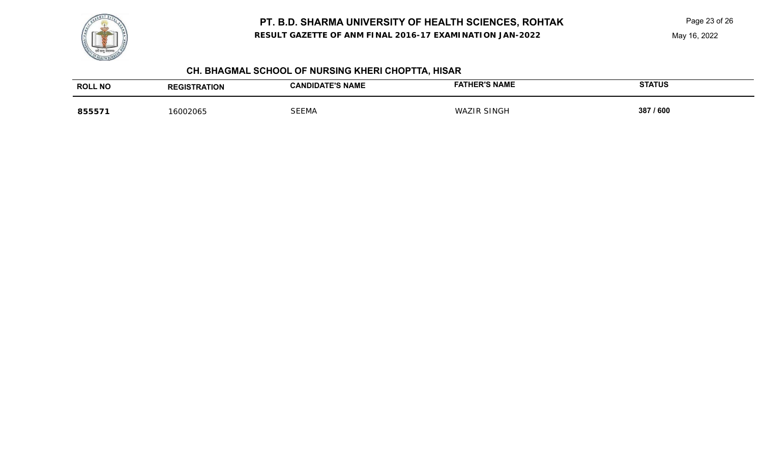**RESULT GAZETTE OF ANM FINAL 2016-17 EXAMINATION JAN-2022**



## **CH. BHAGMAL SCHOOL OF NURSING KHERI CHOPTTA, HISAR**

| <b>ROLL NO</b> | <b>REGISTRATION</b> | <b>CANDIDATE'S NAME</b> | <b>FATHER'S NAME</b> | <b>STATUS</b> |
|----------------|---------------------|-------------------------|----------------------|---------------|
| 855571         | 16002065            | <b>SEEMA</b>            | <b>WAZIR SINGH</b>   | 387 / 600     |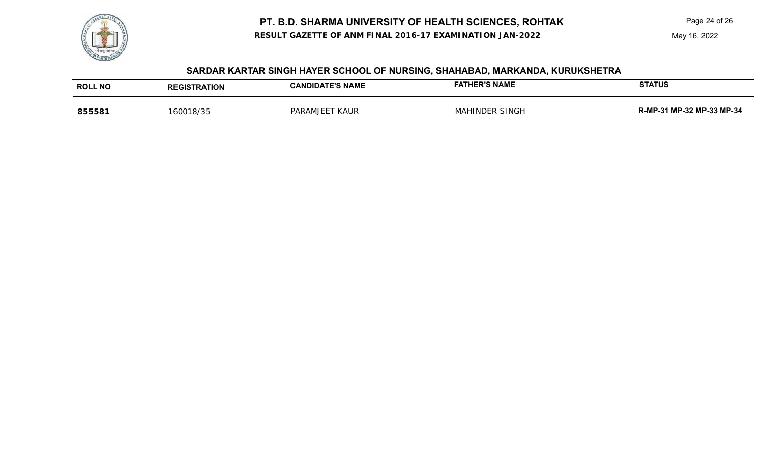**RESULT GAZETTE OF ANM FINAL 2016-17 EXAMINATION JAN-2022**

Page 24 of 26

May 16, 2022

## **SARDAR KARTAR SINGH HAYER SCHOOL OF NURSING, SHAHABAD, MARKANDA, KURUKSHETRA**

| <b>ROLL NO</b> | <b>REGISTRATION</b> | <b>CANDIDATE'S NAME</b>  | <b>FATHER'S NAME</b> | <b>STATUS</b>             |
|----------------|---------------------|--------------------------|----------------------|---------------------------|
| 855581         | 160018/35           | <b>KAUR</b><br>PARAMJEET | MAHINDER SINGH       | R-MP-31 MP-32 MP-33 MP-34 |

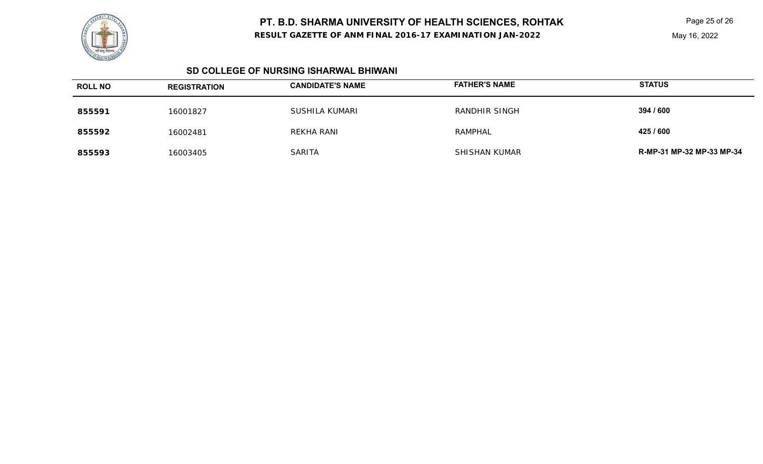

**RESULT GAZETTE OF ANM FINAL 2016-17 EXAMINATION JAN-2022**

Page 25 of 26

#### **SD COLLEGE OF NURSING ISHARWAL BHIWANI**

| <b>ROLL NO</b> | <b>REGISTRATION</b> | <b>CANDIDATE'S NAME</b> | <b>FATHER'S NAME</b> | <b>STATUS</b>             |
|----------------|---------------------|-------------------------|----------------------|---------------------------|
| 855591         | 16001827            | SUSHILA KUMARI          | RANDHIR SINGH        | 394 / 600                 |
| 855592         | 16002481            | REKHA RANI              | RAMPHAL              | 425 / 600                 |
| 855593         | 16003405            | <b>SARITA</b>           | SHISHAN KUMAR        | R-MP-31 MP-32 MP-33 MP-34 |